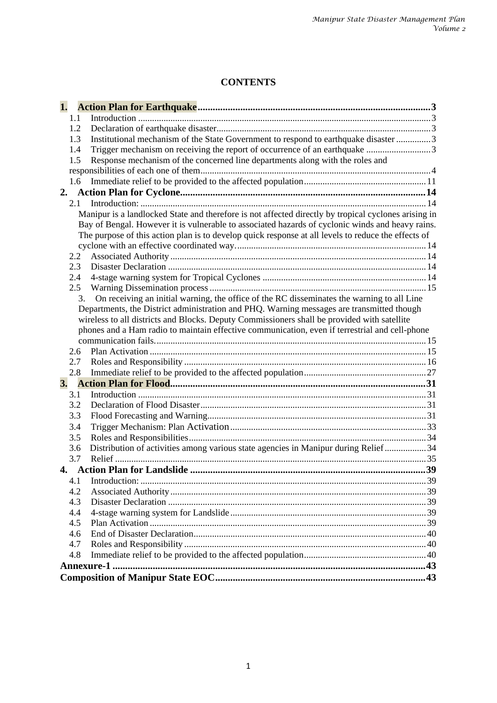# **CONTENTS**

| 1. |     |                                                                                                      |  |
|----|-----|------------------------------------------------------------------------------------------------------|--|
|    | 1.1 |                                                                                                      |  |
|    | 1.2 |                                                                                                      |  |
|    | 1.3 | Institutional mechanism of the State Government to respond to earthquake disaster 3                  |  |
|    | 1.4 | Trigger mechanism on receiving the report of occurrence of an earthquake 3                           |  |
|    | 1.5 | Response mechanism of the concerned line departments along with the roles and                        |  |
|    |     |                                                                                                      |  |
|    | 1.6 |                                                                                                      |  |
|    |     |                                                                                                      |  |
|    | 2.1 |                                                                                                      |  |
|    |     | Manipur is a landlocked State and therefore is not affected directly by tropical cyclones arising in |  |
|    |     | Bay of Bengal. However it is vulnerable to associated hazards of cyclonic winds and heavy rains.     |  |
|    |     | The purpose of this action plan is to develop quick response at all levels to reduce the effects of  |  |
|    |     |                                                                                                      |  |
|    | 2.2 |                                                                                                      |  |
|    | 2.3 |                                                                                                      |  |
|    | 2.4 |                                                                                                      |  |
|    | 2.5 |                                                                                                      |  |
|    | 3.  | On receiving an initial warning, the office of the RC disseminates the warning to all Line           |  |
|    |     | Departments, the District administration and PHQ. Warning messages are transmitted though            |  |
|    |     | wireless to all districts and Blocks. Deputy Commissioners shall be provided with satellite          |  |
|    |     | phones and a Ham radio to maintain effective communication, even if terrestrial and cell-phone       |  |
|    |     |                                                                                                      |  |
|    | 2.6 |                                                                                                      |  |
|    | 2.7 |                                                                                                      |  |
|    | 2.8 |                                                                                                      |  |
| 3. |     |                                                                                                      |  |
|    | 3.1 |                                                                                                      |  |
|    | 3.2 |                                                                                                      |  |
|    | 3.3 |                                                                                                      |  |
|    | 3.4 |                                                                                                      |  |
|    | 3.5 |                                                                                                      |  |
|    | 3.6 | Distribution of activities among various state agencies in Manipur during Relief  34                 |  |
|    | 3.7 |                                                                                                      |  |
|    |     |                                                                                                      |  |
|    | 4.1 |                                                                                                      |  |
|    | 4.2 |                                                                                                      |  |
|    | 4.3 |                                                                                                      |  |
|    | 4.4 |                                                                                                      |  |
|    | 4.5 |                                                                                                      |  |
|    | 4.6 |                                                                                                      |  |
|    | 4.7 |                                                                                                      |  |
|    | 4.8 |                                                                                                      |  |
|    |     |                                                                                                      |  |
|    |     |                                                                                                      |  |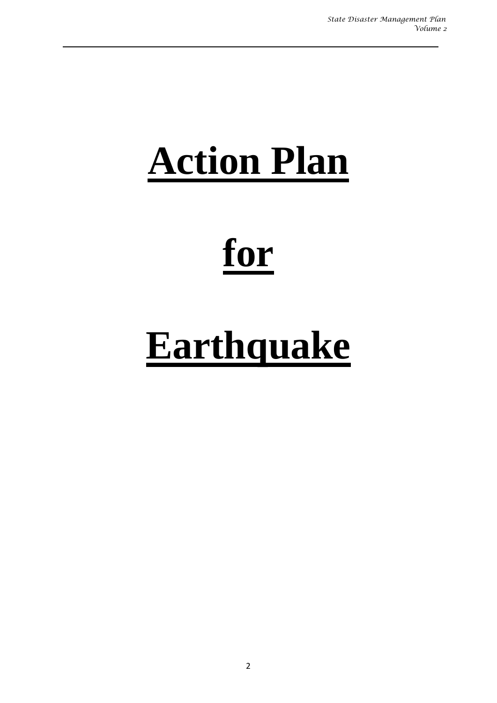# **Action Plan**

# **for**

# **Earthquake**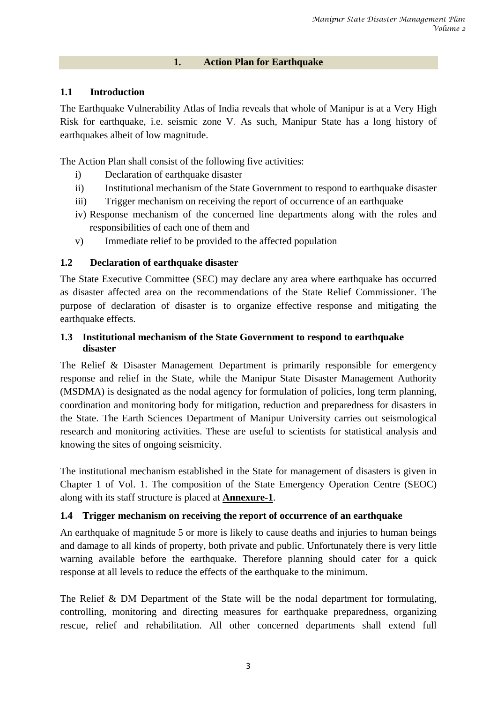#### **1. Action Plan for Earthquake**

#### **1.1 Introduction**

The Earthquake Vulnerability Atlas of India reveals that whole of Manipur is at a Very High Risk for earthquake, i.e. seismic zone V. As such, Manipur State has a long history of earthquakes albeit of low magnitude.

The Action Plan shall consist of the following five activities:

- i) Declaration of earthquake disaster
- ii) Institutional mechanism of the State Government to respond to earthquake disaster
- iii) Trigger mechanism on receiving the report of occurrence of an earthquake
- iv) Response mechanism of the concerned line departments along with the roles and responsibilities of each one of them and
- v) Immediate relief to be provided to the affected population

#### **1.2 Declaration of earthquake disaster**

The State Executive Committee (SEC) may declare any area where earthquake has occurred as disaster affected area on the recommendations of the State Relief Commissioner. The purpose of declaration of disaster is to organize effective response and mitigating the earthquake effects.

#### **1.3 Institutional mechanism of the State Government to respond to earthquake disaster**

The Relief & Disaster Management Department is primarily responsible for emergency response and relief in the State, while the Manipur State Disaster Management Authority (MSDMA) is designated as the nodal agency for formulation of policies, long term planning, coordination and monitoring body for mitigation, reduction and preparedness for disasters in the State. The Earth Sciences Department of Manipur University carries out seismological research and monitoring activities. These are useful to scientists for statistical analysis and knowing the sites of ongoing seismicity.

The institutional mechanism established in the State for management of disasters is given in Chapter 1 of Vol. 1. The composition of the State Emergency Operation Centre (SEOC) along with its staff structure is placed at **Annexure-1**.

#### **1.4 Trigger mechanism on receiving the report of occurrence of an earthquake**

An earthquake of magnitude 5 or more is likely to cause deaths and injuries to human beings and damage to all kinds of property, both private and public. Unfortunately there is very little warning available before the earthquake. Therefore planning should cater for a quick response at all levels to reduce the effects of the earthquake to the minimum.

The Relief & DM Department of the State will be the nodal department for formulating, controlling, monitoring and directing measures for earthquake preparedness, organizing rescue, relief and rehabilitation. All other concerned departments shall extend full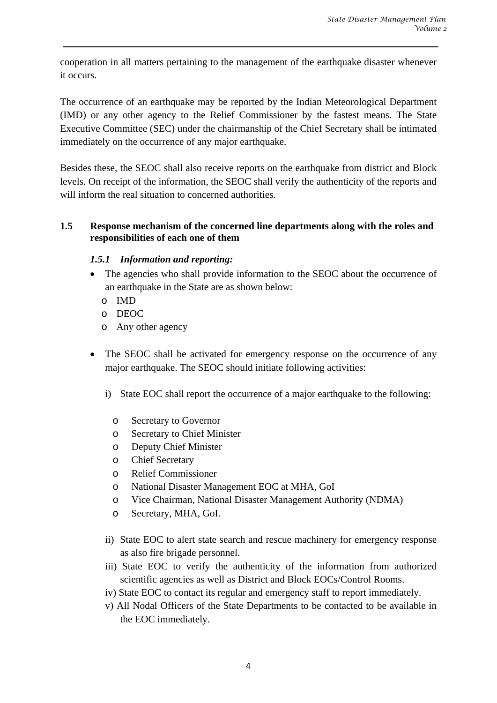cooperation in all matters pertaining to the management of the earthquake disaster whenever it occurs.

The occurrence of an earthquake may be reported by the Indian Meteorological Department (IMD) or any other agency to the Relief Commissioner by the fastest means. The State Executive Committee (SEC) under the chairmanship of the Chief Secretary shall be intimated immediately on the occurrence of any major earthquake.

Besides these, the SEOC shall also receive reports on the earthquake from district and Block levels. On receipt of the information, the SEOC shall verify the authenticity of the reports and will inform the real situation to concerned authorities.

#### **1.5 Response mechanism of the concerned line departments along with the roles and responsibilities of each one of them**

# *1.5.1 Information and reporting:*

- The agencies who shall provide information to the SEOC about the occurrence of an earthquake in the State are as shown below:
	- o IMD
	- o DEOC
	- o Any other agency
- The SEOC shall be activated for emergency response on the occurrence of any major earthquake. The SEOC should initiate following activities:
	- i) State EOC shall report the occurrence of a major earthquake to the following:
		- o Secretary to Governor
		- o Secretary to Chief Minister
		- o Deputy Chief Minister
		- o Chief Secretary
		- o Relief Commissioner
		- o National Disaster Management EOC at MHA, GoI
		- o Vice Chairman, National Disaster Management Authority (NDMA)
		- o Secretary, MHA, GoI.
	- ii) State EOC to alert state search and rescue machinery for emergency response as also fire brigade personnel.
	- iii) State EOC to verify the authenticity of the information from authorized scientific agencies as well as District and Block EOCs/Control Rooms.
	- iv) State EOC to contact its regular and emergency staff to report immediately.
	- v) All Nodal Officers of the State Departments to be contacted to be available in the EOC immediately.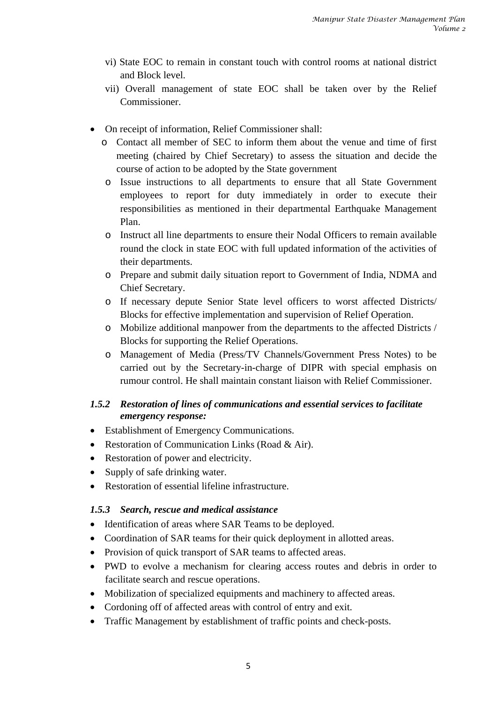- vi) State EOC to remain in constant touch with control rooms at national district and Block level.
- vii) Overall management of state EOC shall be taken over by the Relief Commissioner.
- On receipt of information, Relief Commissioner shall:
	- o Contact all member of SEC to inform them about the venue and time of first meeting (chaired by Chief Secretary) to assess the situation and decide the course of action to be adopted by the State government
	- o Issue instructions to all departments to ensure that all State Government employees to report for duty immediately in order to execute their responsibilities as mentioned in their departmental Earthquake Management Plan.
	- o Instruct all line departments to ensure their Nodal Officers to remain available round the clock in state EOC with full updated information of the activities of their departments.
	- o Prepare and submit daily situation report to Government of India, NDMA and Chief Secretary.
	- o If necessary depute Senior State level officers to worst affected Districts/ Blocks for effective implementation and supervision of Relief Operation.
	- o Mobilize additional manpower from the departments to the affected Districts / Blocks for supporting the Relief Operations.
	- o Management of Media (Press/TV Channels/Government Press Notes) to be carried out by the Secretary-in-charge of DIPR with special emphasis on rumour control. He shall maintain constant liaison with Relief Commissioner.

#### *1.5.2 Restoration of lines of communications and essential services to facilitate emergency response:*

- Establishment of Emergency Communications.
- Restoration of Communication Links (Road & Air).
- Restoration of power and electricity.
- Supply of safe drinking water.
- Restoration of essential lifeline infrastructure.

#### *1.5.3 Search, rescue and medical assistance*

- Identification of areas where SAR Teams to be deployed.
- Coordination of SAR teams for their quick deployment in allotted areas.
- Provision of quick transport of SAR teams to affected areas.
- PWD to evolve a mechanism for clearing access routes and debris in order to facilitate search and rescue operations.
- Mobilization of specialized equipments and machinery to affected areas.
- Cordoning off of affected areas with control of entry and exit.
- Traffic Management by establishment of traffic points and check-posts.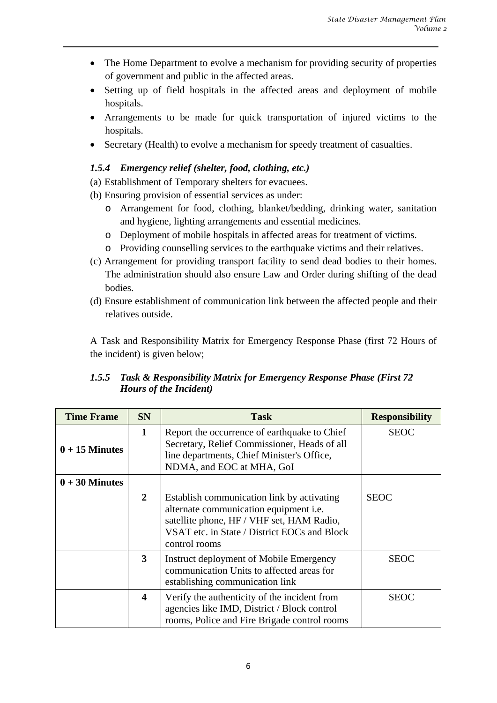- The Home Department to evolve a mechanism for providing security of properties of government and public in the affected areas.
- Setting up of field hospitals in the affected areas and deployment of mobile hospitals.
- Arrangements to be made for quick transportation of injured victims to the hospitals.
- Secretary (Health) to evolve a mechanism for speedy treatment of casualties.

#### *1.5.4 Emergency relief (shelter, food, clothing, etc.)*

- (a) Establishment of Temporary shelters for evacuees.
- (b) Ensuring provision of essential services as under:
	- o Arrangement for food, clothing, blanket/bedding, drinking water, sanitation and hygiene, lighting arrangements and essential medicines.
	- o Deployment of mobile hospitals in affected areas for treatment of victims.
	- o Providing counselling services to the earthquake victims and their relatives.
- (c) Arrangement for providing transport facility to send dead bodies to their homes. The administration should also ensure Law and Order during shifting of the dead bodies.
- (d) Ensure establishment of communication link between the affected people and their relatives outside.

A Task and Responsibility Matrix for Emergency Response Phase (first 72 Hours of the incident) is given below;

# *1.5.5 Task & Responsibility Matrix for Emergency Response Phase (First 72 Hours of the Incident)*

| <b>Time Frame</b> | <b>SN</b>      | <b>Task</b>                                                                                                                                                                                        | <b>Responsibility</b> |
|-------------------|----------------|----------------------------------------------------------------------------------------------------------------------------------------------------------------------------------------------------|-----------------------|
| $0 + 15$ Minutes  | 1              | Report the occurrence of earthquake to Chief<br>Secretary, Relief Commissioner, Heads of all<br>line departments, Chief Minister's Office,<br>NDMA, and EOC at MHA, GoI                            | <b>SEOC</b>           |
| $0 + 30$ Minutes  |                |                                                                                                                                                                                                    |                       |
|                   | $\overline{2}$ | Establish communication link by activating<br>alternate communication equipment i.e.<br>satellite phone, HF / VHF set, HAM Radio,<br>VSAT etc. in State / District EOCs and Block<br>control rooms | <b>SEOC</b>           |
|                   | 3              | Instruct deployment of Mobile Emergency<br>communication Units to affected areas for<br>establishing communication link                                                                            | <b>SEOC</b>           |
|                   | 4              | Verify the authenticity of the incident from<br>agencies like IMD, District / Block control<br>rooms, Police and Fire Brigade control rooms                                                        | <b>SEOC</b>           |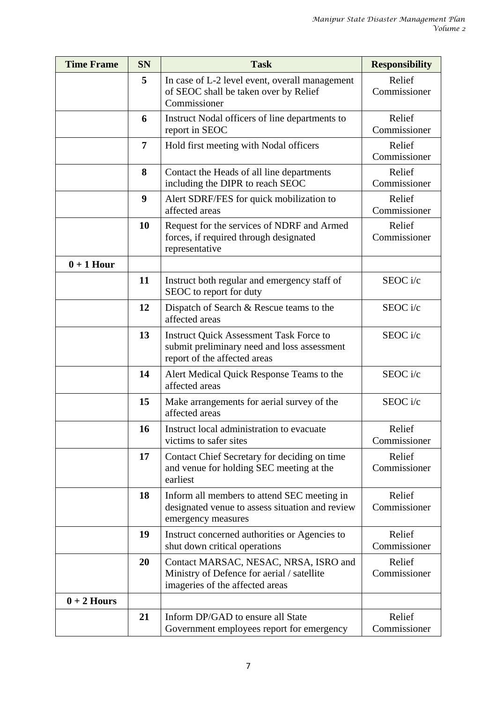| <b>Time Frame</b> | <b>SN</b> | <b>Task</b>                                                                                                                   | <b>Responsibility</b>  |
|-------------------|-----------|-------------------------------------------------------------------------------------------------------------------------------|------------------------|
|                   | 5         | In case of L-2 level event, overall management<br>of SEOC shall be taken over by Relief<br>Commissioner                       | Relief<br>Commissioner |
|                   | 6         | Instruct Nodal officers of line departments to<br>report in SEOC                                                              | Relief<br>Commissioner |
|                   | 7         | Hold first meeting with Nodal officers                                                                                        | Relief<br>Commissioner |
|                   | 8         | Contact the Heads of all line departments<br>including the DIPR to reach SEOC                                                 | Relief<br>Commissioner |
|                   | 9         | Alert SDRF/FES for quick mobilization to<br>affected areas                                                                    | Relief<br>Commissioner |
|                   | 10        | Request for the services of NDRF and Armed<br>forces, if required through designated<br>representative                        | Relief<br>Commissioner |
| $0 + 1$ Hour      |           |                                                                                                                               |                        |
|                   | 11        | Instruct both regular and emergency staff of<br>SEOC to report for duty                                                       | SEOC i/c               |
|                   | 12        | Dispatch of Search & Rescue teams to the<br>affected areas                                                                    | SEOC i/c               |
|                   | 13        | <b>Instruct Quick Assessment Task Force to</b><br>submit preliminary need and loss assessment<br>report of the affected areas | SEOC i/c               |
|                   | 14        | Alert Medical Quick Response Teams to the<br>affected areas                                                                   | SEOC i/c               |
|                   | 15        | Make arrangements for aerial survey of the<br>affected areas                                                                  | SEOC i/c               |
|                   | 16        | Instruct local administration to evacuate<br>victims to safer sites                                                           | Relief<br>Commissioner |
|                   | 17        | Contact Chief Secretary for deciding on time<br>and venue for holding SEC meeting at the<br>earliest                          | Relief<br>Commissioner |
|                   | 18        | Inform all members to attend SEC meeting in<br>designated venue to assess situation and review<br>emergency measures          | Relief<br>Commissioner |
|                   | 19        | Instruct concerned authorities or Agencies to<br>shut down critical operations                                                | Relief<br>Commissioner |
|                   | 20        | Contact MARSAC, NESAC, NRSA, ISRO and<br>Ministry of Defence for aerial / satellite<br>imageries of the affected areas        | Relief<br>Commissioner |
| $0 + 2$ Hours     |           |                                                                                                                               |                        |
|                   | 21        | Inform DP/GAD to ensure all State<br>Government employees report for emergency                                                | Relief<br>Commissioner |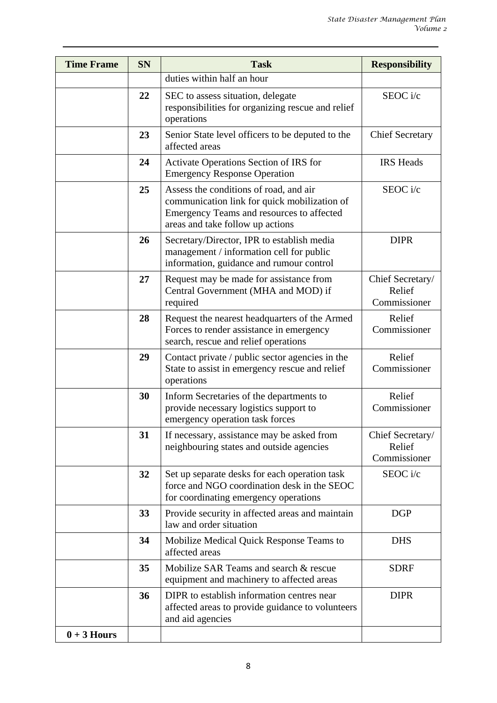| <b>Time Frame</b> | <b>SN</b> | <b>Task</b>                                                                                                                                                             | <b>Responsibility</b>                      |
|-------------------|-----------|-------------------------------------------------------------------------------------------------------------------------------------------------------------------------|--------------------------------------------|
|                   |           | duties within half an hour                                                                                                                                              |                                            |
|                   | 22        | SEC to assess situation, delegate<br>responsibilities for organizing rescue and relief<br>operations                                                                    | SEOC i/c                                   |
|                   | 23        | Senior State level officers to be deputed to the<br>affected areas                                                                                                      | <b>Chief Secretary</b>                     |
|                   | 24        | Activate Operations Section of IRS for<br><b>Emergency Response Operation</b>                                                                                           | <b>IRS</b> Heads                           |
|                   | 25        | Assess the conditions of road, and air<br>communication link for quick mobilization of<br>Emergency Teams and resources to affected<br>areas and take follow up actions | SEOC i/c                                   |
|                   | 26        | Secretary/Director, IPR to establish media<br>management / information cell for public<br>information, guidance and rumour control                                      | <b>DIPR</b>                                |
|                   | 27        | Request may be made for assistance from<br>Central Government (MHA and MOD) if<br>required                                                                              | Chief Secretary/<br>Relief<br>Commissioner |
|                   | 28        | Request the nearest headquarters of the Armed<br>Forces to render assistance in emergency<br>search, rescue and relief operations                                       | Relief<br>Commissioner                     |
|                   | 29        | Contact private / public sector agencies in the<br>State to assist in emergency rescue and relief<br>operations                                                         | Relief<br>Commissioner                     |
|                   | 30        | Inform Secretaries of the departments to<br>provide necessary logistics support to<br>emergency operation task forces                                                   | Relief<br>Commissioner                     |
|                   | 31        | If necessary, assistance may be asked from<br>neighbouring states and outside agencies                                                                                  | Chief Secretary/<br>Relief<br>Commissioner |
|                   | 32        | Set up separate desks for each operation task<br>force and NGO coordination desk in the SEOC<br>for coordinating emergency operations                                   | SEOC i/c                                   |
|                   | 33        | Provide security in affected areas and maintain<br>law and order situation                                                                                              | <b>DGP</b>                                 |
|                   | 34        | Mobilize Medical Quick Response Teams to<br>affected areas                                                                                                              | <b>DHS</b>                                 |
|                   | 35        | Mobilize SAR Teams and search & rescue<br>equipment and machinery to affected areas                                                                                     | <b>SDRF</b>                                |
|                   | 36        | DIPR to establish information centres near<br>affected areas to provide guidance to volunteers<br>and aid agencies                                                      | <b>DIPR</b>                                |
| $0 + 3$ Hours     |           |                                                                                                                                                                         |                                            |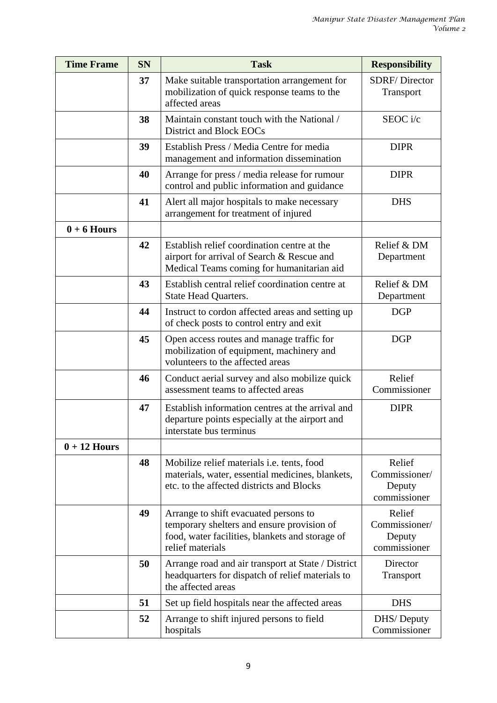| <b>Time Frame</b> | <b>SN</b> | <b>Task</b>                                                                                                                                                | <b>Responsibility</b>                             |
|-------------------|-----------|------------------------------------------------------------------------------------------------------------------------------------------------------------|---------------------------------------------------|
|                   | 37        | Make suitable transportation arrangement for<br>mobilization of quick response teams to the<br>affected areas                                              | <b>SDRF/Director</b><br>Transport                 |
|                   | 38        | Maintain constant touch with the National /<br>District and Block EOCs                                                                                     | SEOC i/c                                          |
|                   | 39        | Establish Press / Media Centre for media<br>management and information dissemination                                                                       | <b>DIPR</b>                                       |
|                   | 40        | Arrange for press / media release for rumour<br>control and public information and guidance                                                                | <b>DIPR</b>                                       |
|                   | 41        | Alert all major hospitals to make necessary<br>arrangement for treatment of injured                                                                        | <b>DHS</b>                                        |
| $0 + 6$ Hours     |           |                                                                                                                                                            |                                                   |
|                   | 42        | Establish relief coordination centre at the<br>airport for arrival of Search & Rescue and<br>Medical Teams coming for humanitarian aid                     | Relief & DM<br>Department                         |
|                   | 43        | Establish central relief coordination centre at<br><b>State Head Quarters.</b>                                                                             | Relief & DM<br>Department                         |
|                   | 44        | Instruct to cordon affected areas and setting up<br>of check posts to control entry and exit                                                               | <b>DGP</b>                                        |
|                   | 45        | Open access routes and manage traffic for<br>mobilization of equipment, machinery and<br>volunteers to the affected areas                                  | <b>DGP</b>                                        |
|                   | 46        | Conduct aerial survey and also mobilize quick<br>assessment teams to affected areas                                                                        | Relief<br>Commissioner                            |
|                   | 47        | Establish information centres at the arrival and<br>departure points especially at the airport and<br>interstate bus terminus                              | <b>DIPR</b>                                       |
| $0 + 12$ Hours    |           |                                                                                                                                                            |                                                   |
|                   | 48        | Mobilize relief materials <i>i.e.</i> tents, food<br>materials, water, essential medicines, blankets,<br>etc. to the affected districts and Blocks         | Relief<br>Commissioner/<br>Deputy<br>commissioner |
|                   | 49        | Arrange to shift evacuated persons to<br>temporary shelters and ensure provision of<br>food, water facilities, blankets and storage of<br>relief materials | Relief<br>Commissioner/<br>Deputy<br>commissioner |
|                   | 50        | Arrange road and air transport at State / District<br>headquarters for dispatch of relief materials to<br>the affected areas                               | Director<br>Transport                             |
|                   | 51        | Set up field hospitals near the affected areas                                                                                                             | <b>DHS</b>                                        |
|                   | 52        | Arrange to shift injured persons to field<br>hospitals                                                                                                     | DHS/Deputy<br>Commissioner                        |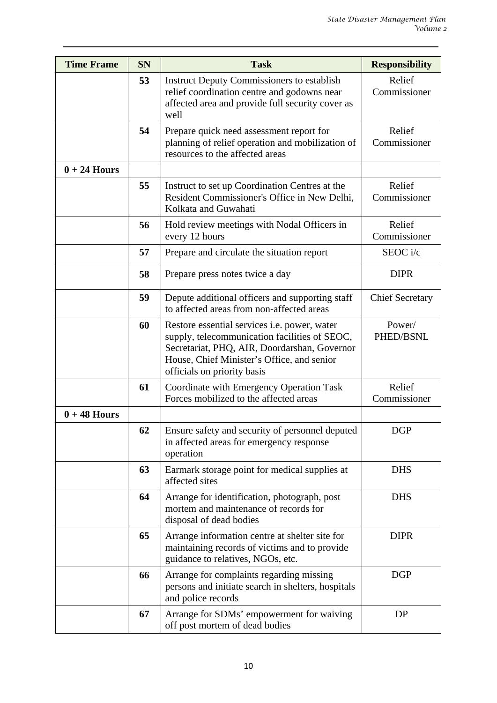| <b>Time Frame</b> | <b>SN</b> | <b>Task</b>                                                                                                                                                                                                                | <b>Responsibility</b>  |
|-------------------|-----------|----------------------------------------------------------------------------------------------------------------------------------------------------------------------------------------------------------------------------|------------------------|
|                   | 53        | <b>Instruct Deputy Commissioners to establish</b><br>relief coordination centre and godowns near<br>affected area and provide full security cover as<br>well                                                               | Relief<br>Commissioner |
|                   | 54        | Prepare quick need assessment report for<br>planning of relief operation and mobilization of<br>resources to the affected areas                                                                                            | Relief<br>Commissioner |
| $0 + 24$ Hours    |           |                                                                                                                                                                                                                            |                        |
|                   | 55        | Instruct to set up Coordination Centres at the<br>Resident Commissioner's Office in New Delhi,<br>Kolkata and Guwahati                                                                                                     | Relief<br>Commissioner |
|                   | 56        | Hold review meetings with Nodal Officers in<br>every 12 hours                                                                                                                                                              | Relief<br>Commissioner |
|                   | 57        | Prepare and circulate the situation report                                                                                                                                                                                 | SEOC i/c               |
|                   | 58        | Prepare press notes twice a day                                                                                                                                                                                            | <b>DIPR</b>            |
|                   | 59        | Depute additional officers and supporting staff<br>to affected areas from non-affected areas                                                                                                                               | <b>Chief Secretary</b> |
|                   | 60        | Restore essential services i.e. power, water<br>supply, telecommunication facilities of SEOC,<br>Secretariat, PHQ, AIR, Doordarshan, Governor<br>House, Chief Minister's Office, and senior<br>officials on priority basis | Power/<br>PHED/BSNL    |
|                   | 61        | Coordinate with Emergency Operation Task<br>Forces mobilized to the affected areas                                                                                                                                         | Relief<br>Commissioner |
| $0 + 48$ Hours    |           |                                                                                                                                                                                                                            |                        |
|                   | 62        | Ensure safety and security of personnel deputed<br>in affected areas for emergency response<br>operation                                                                                                                   | <b>DGP</b>             |
|                   | 63        | Earmark storage point for medical supplies at<br>affected sites                                                                                                                                                            | <b>DHS</b>             |
|                   | 64        | Arrange for identification, photograph, post<br>mortem and maintenance of records for<br>disposal of dead bodies                                                                                                           | <b>DHS</b>             |
|                   | 65        | Arrange information centre at shelter site for<br>maintaining records of victims and to provide<br>guidance to relatives, NGOs, etc.                                                                                       | <b>DIPR</b>            |
|                   | 66        | Arrange for complaints regarding missing<br>persons and initiate search in shelters, hospitals<br>and police records                                                                                                       | <b>DGP</b>             |
|                   | 67        | Arrange for SDMs' empowerment for waiving<br>off post mortem of dead bodies                                                                                                                                                | DP                     |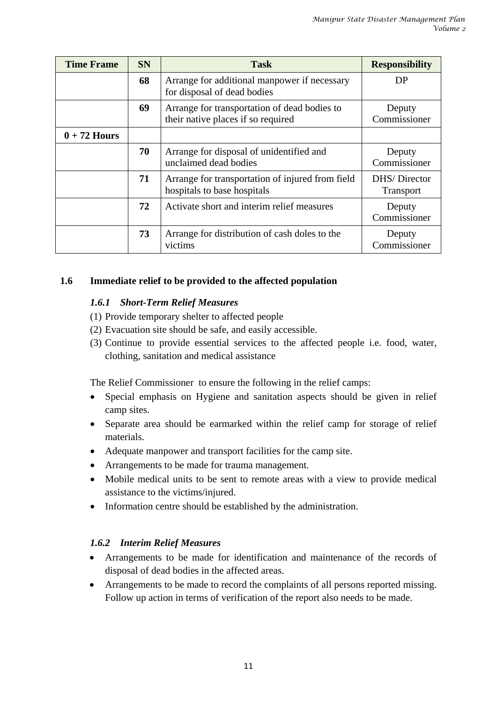| <b>Time Frame</b> | <b>SN</b> | <b>Task</b>                                                                        | <b>Responsibility</b>            |
|-------------------|-----------|------------------------------------------------------------------------------------|----------------------------------|
|                   | 68        | Arrange for additional manpower if necessary<br>for disposal of dead bodies        | DP.                              |
|                   | 69        | Arrange for transportation of dead bodies to<br>their native places if so required | Deputy<br>Commissioner           |
| $0 + 72$ Hours    |           |                                                                                    |                                  |
|                   | 70        | Arrange for disposal of unidentified and<br>unclaimed dead bodies                  | Deputy<br>Commissioner           |
|                   | 71        | Arrange for transportation of injured from field<br>hospitals to base hospitals    | DHS/Director<br><b>Transport</b> |
|                   | 72        | Activate short and interim relief measures                                         | Deputy<br>Commissioner           |
|                   | 73        | Arrange for distribution of cash doles to the<br>victims                           | Deputy<br>Commissioner           |

#### **1.6 Immediate relief to be provided to the affected population**

#### *1.6.1 Short-Term Relief Measures*

- (1) Provide temporary shelter to affected people
- (2) Evacuation site should be safe, and easily accessible.
- (3) Continue to provide essential services to the affected people i.e. food, water, clothing, sanitation and medical assistance

The Relief Commissioner to ensure the following in the relief camps:

- Special emphasis on Hygiene and sanitation aspects should be given in relief camp sites.
- Separate area should be earmarked within the relief camp for storage of relief materials.
- Adequate manpower and transport facilities for the camp site.
- Arrangements to be made for trauma management.
- Mobile medical units to be sent to remote areas with a view to provide medical assistance to the victims/injured.
- Information centre should be established by the administration.

#### *1.6.2 Interim Relief Measures*

- Arrangements to be made for identification and maintenance of the records of disposal of dead bodies in the affected areas.
- Arrangements to be made to record the complaints of all persons reported missing. Follow up action in terms of verification of the report also needs to be made.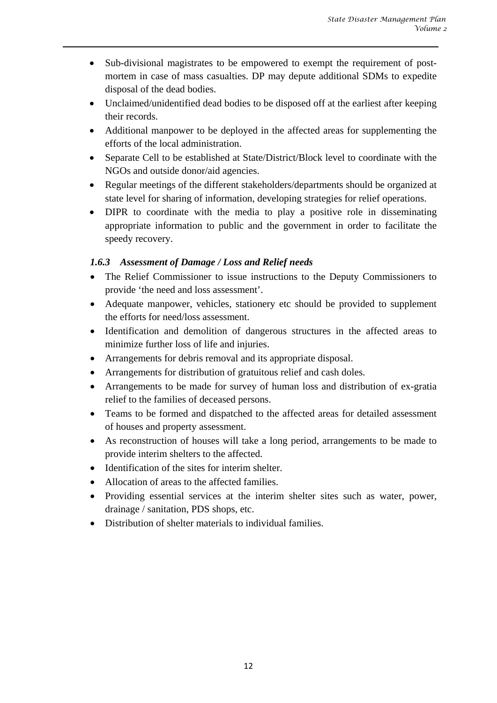- Sub-divisional magistrates to be empowered to exempt the requirement of postmortem in case of mass casualties. DP may depute additional SDMs to expedite disposal of the dead bodies.
- Unclaimed/unidentified dead bodies to be disposed off at the earliest after keeping their records.
- Additional manpower to be deployed in the affected areas for supplementing the efforts of the local administration.
- Separate Cell to be established at State/District/Block level to coordinate with the NGOs and outside donor/aid agencies.
- Regular meetings of the different stakeholders/departments should be organized at state level for sharing of information, developing strategies for relief operations.
- DIPR to coordinate with the media to play a positive role in disseminating appropriate information to public and the government in order to facilitate the speedy recovery.

# *1.6.3 Assessment of Damage / Loss and Relief needs*

- The Relief Commissioner to issue instructions to the Deputy Commissioners to provide 'the need and loss assessment'.
- Adequate manpower, vehicles, stationery etc should be provided to supplement the efforts for need/loss assessment.
- Identification and demolition of dangerous structures in the affected areas to minimize further loss of life and injuries.
- Arrangements for debris removal and its appropriate disposal.
- Arrangements for distribution of gratuitous relief and cash doles.
- Arrangements to be made for survey of human loss and distribution of ex-gratia relief to the families of deceased persons.
- Teams to be formed and dispatched to the affected areas for detailed assessment of houses and property assessment.
- As reconstruction of houses will take a long period, arrangements to be made to provide interim shelters to the affected.
- Identification of the sites for interim shelter.
- Allocation of areas to the affected families.
- Providing essential services at the interim shelter sites such as water, power, drainage / sanitation, PDS shops, etc.
- Distribution of shelter materials to individual families.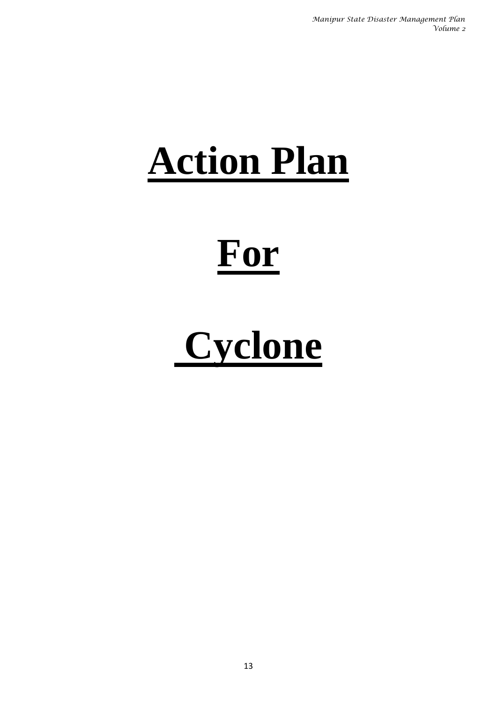*Manipur State Disaster Management Plan Volume 2* 

# **Action Plan**



# **Cyclone**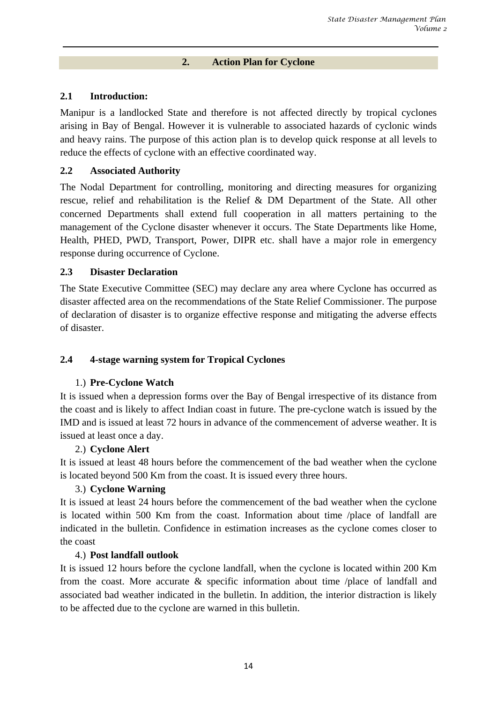#### **2. Action Plan for Cyclone**

#### **2.1 Introduction:**

Manipur is a landlocked State and therefore is not affected directly by tropical cyclones arising in Bay of Bengal. However it is vulnerable to associated hazards of cyclonic winds and heavy rains. The purpose of this action plan is to develop quick response at all levels to reduce the effects of cyclone with an effective coordinated way.

#### **2.2 Associated Authority**

The Nodal Department for controlling, monitoring and directing measures for organizing rescue, relief and rehabilitation is the Relief & DM Department of the State. All other concerned Departments shall extend full cooperation in all matters pertaining to the management of the Cyclone disaster whenever it occurs. The State Departments like Home, Health, PHED, PWD, Transport, Power, DIPR etc. shall have a major role in emergency response during occurrence of Cyclone.

#### **2.3 Disaster Declaration**

The State Executive Committee (SEC) may declare any area where Cyclone has occurred as disaster affected area on the recommendations of the State Relief Commissioner. The purpose of declaration of disaster is to organize effective response and mitigating the adverse effects of disaster.

# **2.4 4-stage warning system for Tropical Cyclones**

# 1.) **Pre-Cyclone Watch**

It is issued when a depression forms over the Bay of Bengal irrespective of its distance from the coast and is likely to affect Indian coast in future. The pre-cyclone watch is issued by the IMD and is issued at least 72 hours in advance of the commencement of adverse weather. It is issued at least once a day.

#### 2.) **Cyclone Alert**

It is issued at least 48 hours before the commencement of the bad weather when the cyclone is located beyond 500 Km from the coast. It is issued every three hours.

#### 3.) **Cyclone Warning**

It is issued at least 24 hours before the commencement of the bad weather when the cyclone is located within 500 Km from the coast. Information about time /place of landfall are indicated in the bulletin. Confidence in estimation increases as the cyclone comes closer to the coast

#### 4.) **Post landfall outlook**

It is issued 12 hours before the cyclone landfall, when the cyclone is located within 200 Km from the coast. More accurate & specific information about time /place of landfall and associated bad weather indicated in the bulletin. In addition, the interior distraction is likely to be affected due to the cyclone are warned in this bulletin.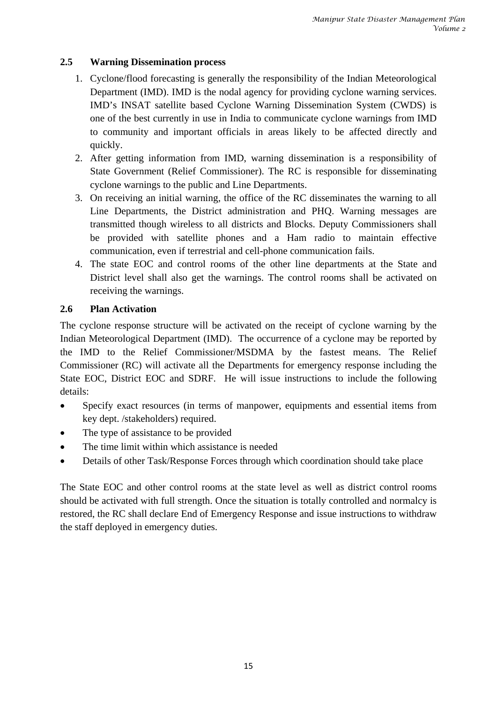# **2.5 Warning Dissemination process**

- 1. Cyclone/flood forecasting is generally the responsibility of the Indian Meteorological Department (IMD). IMD is the nodal agency for providing cyclone warning services. IMD's INSAT satellite based Cyclone Warning Dissemination System (CWDS) is one of the best currently in use in India to communicate cyclone warnings from IMD to community and important officials in areas likely to be affected directly and quickly.
- 2. After getting information from IMD, warning dissemination is a responsibility of State Government (Relief Commissioner). The RC is responsible for disseminating cyclone warnings to the public and Line Departments.
- 3. On receiving an initial warning, the office of the RC disseminates the warning to all Line Departments, the District administration and PHQ. Warning messages are transmitted though wireless to all districts and Blocks. Deputy Commissioners shall be provided with satellite phones and a Ham radio to maintain effective communication, even if terrestrial and cell-phone communication fails.
- 4. The state EOC and control rooms of the other line departments at the State and District level shall also get the warnings. The control rooms shall be activated on receiving the warnings.

# **2.6 Plan Activation**

The cyclone response structure will be activated on the receipt of cyclone warning by the Indian Meteorological Department (IMD). The occurrence of a cyclone may be reported by the IMD to the Relief Commissioner/MSDMA by the fastest means. The Relief Commissioner (RC) will activate all the Departments for emergency response including the State EOC, District EOC and SDRF. He will issue instructions to include the following details:

- Specify exact resources (in terms of manpower, equipments and essential items from key dept. /stakeholders) required.
- The type of assistance to be provided
- The time limit within which assistance is needed
- Details of other Task/Response Forces through which coordination should take place

The State EOC and other control rooms at the state level as well as district control rooms should be activated with full strength. Once the situation is totally controlled and normalcy is restored, the RC shall declare End of Emergency Response and issue instructions to withdraw the staff deployed in emergency duties.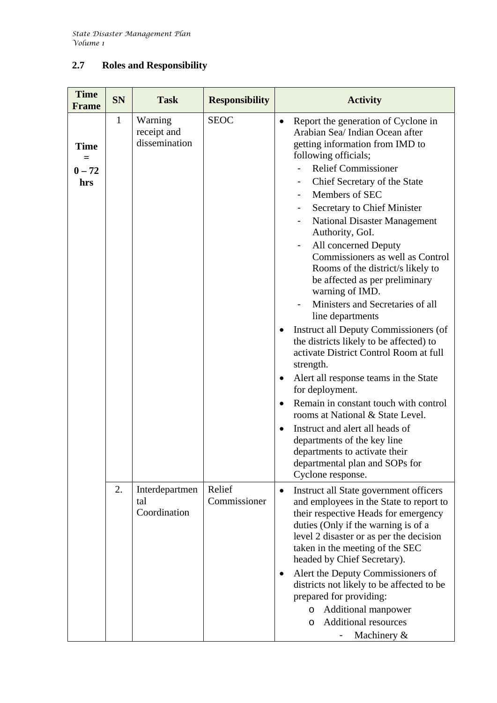# **2.7 Roles and Responsibility**

| <b>Time</b><br>Frame           | <b>SN</b>    | <b>Task</b>                             | <b>Responsibility</b>  | <b>Activity</b>                                                                                                                                                                                                                                                                                                                                                                                                                                                                                                                                                                                                                                                                                                                                                                                                                                                                                                                                                                                                                                |
|--------------------------------|--------------|-----------------------------------------|------------------------|------------------------------------------------------------------------------------------------------------------------------------------------------------------------------------------------------------------------------------------------------------------------------------------------------------------------------------------------------------------------------------------------------------------------------------------------------------------------------------------------------------------------------------------------------------------------------------------------------------------------------------------------------------------------------------------------------------------------------------------------------------------------------------------------------------------------------------------------------------------------------------------------------------------------------------------------------------------------------------------------------------------------------------------------|
| <b>Time</b><br>$0 - 72$<br>hrs | $\mathbf{1}$ | Warning<br>receipt and<br>dissemination | <b>SEOC</b>            | Report the generation of Cyclone in<br>$\bullet$<br>Arabian Sea/ Indian Ocean after<br>getting information from IMD to<br>following officials;<br><b>Relief Commissioner</b><br>Chief Secretary of the State<br>Members of SEC<br><b>Secretary to Chief Minister</b><br><b>National Disaster Management</b><br>Authority, GoI.<br>All concerned Deputy<br>Commissioners as well as Control<br>Rooms of the district/s likely to<br>be affected as per preliminary<br>warning of IMD.<br>Ministers and Secretaries of all<br>line departments<br>Instruct all Deputy Commissioners (of<br>$\bullet$<br>the districts likely to be affected) to<br>activate District Control Room at full<br>strength.<br>Alert all response teams in the State<br>$\bullet$<br>for deployment.<br>Remain in constant touch with control<br>$\bullet$<br>rooms at National & State Level.<br>Instruct and alert all heads of<br>$\bullet$<br>departments of the key line<br>departments to activate their<br>departmental plan and SOPs for<br>Cyclone response. |
|                                | 2.           | Interdepartmen<br>tal<br>Coordination   | Relief<br>Commissioner | Instruct all State government officers<br>$\bullet$<br>and employees in the State to report to<br>their respective Heads for emergency<br>duties (Only if the warning is of a<br>level 2 disaster or as per the decision<br>taken in the meeting of the SEC<br>headed by Chief Secretary).<br>Alert the Deputy Commissioners of<br>districts not likely to be affected to be<br>prepared for providing:<br>Additional manpower<br>$\circ$<br><b>Additional resources</b><br>$\circ$<br>Machinery &                                                                                                                                                                                                                                                                                                                                                                                                                                                                                                                                             |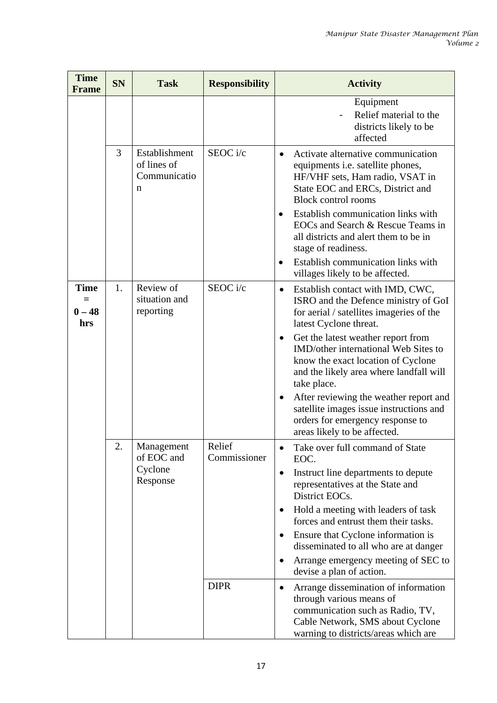| <b>Time</b><br><b>Frame</b>           | <b>SN</b> | <b>Task</b>                                       | <b>Responsibility</b>  | <b>Activity</b>                                                                                                                                                                           |
|---------------------------------------|-----------|---------------------------------------------------|------------------------|-------------------------------------------------------------------------------------------------------------------------------------------------------------------------------------------|
|                                       |           |                                                   |                        | Equipment<br>Relief material to the<br>districts likely to be<br>affected                                                                                                                 |
|                                       | 3         | Establishment<br>of lines of<br>Communicatio<br>n | SEOC i/c               | Activate alternative communication<br>$\bullet$<br>equipments i.e. satellite phones,<br>HF/VHF sets, Ham radio, VSAT in<br>State EOC and ERCs, District and<br><b>Block control rooms</b> |
|                                       |           |                                                   |                        | Establish communication links with<br>EOCs and Search & Rescue Teams in<br>all districts and alert them to be in<br>stage of readiness.                                                   |
|                                       |           |                                                   |                        | Establish communication links with<br>villages likely to be affected.                                                                                                                     |
| <b>Time</b><br>$=$<br>$0 - 48$<br>hrs | 1.        | Review of<br>situation and<br>reporting           | SEOC i/c               | Establish contact with IMD, CWC,<br>$\bullet$<br>ISRO and the Defence ministry of GoI<br>for aerial / satellites imageries of the<br>latest Cyclone threat.                               |
|                                       |           |                                                   |                        | Get the latest weather report from<br>$\bullet$<br>IMD/other international Web Sites to<br>know the exact location of Cyclone<br>and the likely area where landfall will<br>take place.   |
|                                       |           |                                                   |                        | After reviewing the weather report and<br>$\bullet$<br>satellite images issue instructions and<br>orders for emergency response to<br>areas likely to be affected.                        |
|                                       | 2.        | Management<br>of EOC and                          | Relief<br>Commissioner | Take over full command of State<br>EOC.                                                                                                                                                   |
|                                       |           | Cyclone<br>Response                               |                        | Instruct line departments to depute<br>٠<br>representatives at the State and<br>District EOCs.                                                                                            |
|                                       |           |                                                   |                        | Hold a meeting with leaders of task<br>$\bullet$<br>forces and entrust them their tasks.                                                                                                  |
|                                       |           |                                                   |                        | Ensure that Cyclone information is<br>disseminated to all who are at danger                                                                                                               |
|                                       |           |                                                   |                        | Arrange emergency meeting of SEC to<br>devise a plan of action.                                                                                                                           |
|                                       |           |                                                   | <b>DIPR</b>            | Arrange dissemination of information<br>٠<br>through various means of<br>communication such as Radio, TV,<br>Cable Network, SMS about Cyclone<br>warning to districts/areas which are     |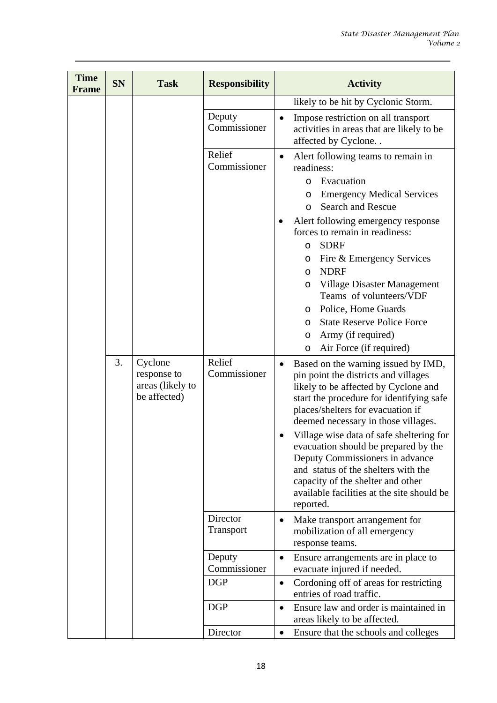| <b>Time</b><br>Frame | <b>SN</b> | <b>Task</b>                                                | <b>Responsibility</b>  | <b>Activity</b>                                                                                                                                                                                                                                                                                                                                                                                                                                                                                                                  |
|----------------------|-----------|------------------------------------------------------------|------------------------|----------------------------------------------------------------------------------------------------------------------------------------------------------------------------------------------------------------------------------------------------------------------------------------------------------------------------------------------------------------------------------------------------------------------------------------------------------------------------------------------------------------------------------|
|                      |           |                                                            |                        | likely to be hit by Cyclonic Storm.                                                                                                                                                                                                                                                                                                                                                                                                                                                                                              |
|                      |           |                                                            | Deputy<br>Commissioner | Impose restriction on all transport<br>activities in areas that are likely to be<br>affected by Cyclone                                                                                                                                                                                                                                                                                                                                                                                                                          |
|                      |           |                                                            | Relief<br>Commissioner | Alert following teams to remain in<br>$\bullet$<br>readiness:<br>Evacuation<br>$\Omega$<br><b>Emergency Medical Services</b><br>O<br><b>Search and Rescue</b><br>$\circ$<br>Alert following emergency response<br>forces to remain in readiness:<br><b>SDRF</b><br>$\circ$<br>Fire & Emergency Services<br>O<br><b>NDRF</b><br>O<br>Village Disaster Management<br>O<br>Teams of volunteers/VDF<br>Police, Home Guards<br>O<br><b>State Reserve Police Force</b><br>O<br>Army (if required)<br>O<br>Air Force (if required)<br>O |
|                      | 3.        | Cyclone<br>response to<br>areas (likely to<br>be affected) | Relief<br>Commissioner | Based on the warning issued by IMD,<br>$\bullet$<br>pin point the districts and villages<br>likely to be affected by Cyclone and<br>start the procedure for identifying safe<br>places/shelters for evacuation if<br>deemed necessary in those villages.<br>Village wise data of safe sheltering for<br>evacuation should be prepared by the<br>Deputy Commissioners in advance<br>and status of the shelters with the<br>capacity of the shelter and other<br>available facilities at the site should be<br>reported.           |
|                      |           |                                                            | Director<br>Transport  | Make transport arrangement for<br>mobilization of all emergency<br>response teams.                                                                                                                                                                                                                                                                                                                                                                                                                                               |
|                      |           |                                                            | Deputy<br>Commissioner | Ensure arrangements are in place to<br>$\bullet$<br>evacuate injured if needed.                                                                                                                                                                                                                                                                                                                                                                                                                                                  |
|                      |           |                                                            | <b>DGP</b>             | Cordoning off of areas for restricting<br>$\bullet$<br>entries of road traffic.                                                                                                                                                                                                                                                                                                                                                                                                                                                  |
|                      |           |                                                            | <b>DGP</b>             | Ensure law and order is maintained in<br>$\bullet$<br>areas likely to be affected.                                                                                                                                                                                                                                                                                                                                                                                                                                               |
|                      |           |                                                            | Director               | Ensure that the schools and colleges<br>$\bullet$                                                                                                                                                                                                                                                                                                                                                                                                                                                                                |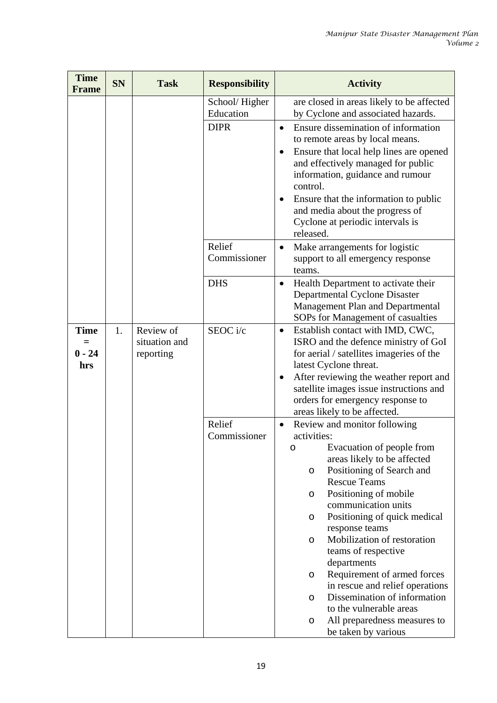| <b>Time</b><br><b>Frame</b>    | <b>SN</b> | <b>Task</b>                             | <b>Responsibility</b>      | <b>Activity</b>                                                                                                                                                                                                                                                                                                                                                                                                                                                                                                                                                      |
|--------------------------------|-----------|-----------------------------------------|----------------------------|----------------------------------------------------------------------------------------------------------------------------------------------------------------------------------------------------------------------------------------------------------------------------------------------------------------------------------------------------------------------------------------------------------------------------------------------------------------------------------------------------------------------------------------------------------------------|
|                                |           |                                         | School/Higher<br>Education | are closed in areas likely to be affected<br>by Cyclone and associated hazards.                                                                                                                                                                                                                                                                                                                                                                                                                                                                                      |
|                                |           |                                         | <b>DIPR</b>                | Ensure dissemination of information<br>$\bullet$<br>to remote areas by local means.<br>Ensure that local help lines are opened<br>٠<br>and effectively managed for public<br>information, guidance and rumour<br>control.<br>Ensure that the information to public<br>$\bullet$<br>and media about the progress of<br>Cyclone at periodic intervals is<br>released.                                                                                                                                                                                                  |
|                                |           |                                         | Relief<br>Commissioner     | Make arrangements for logistic<br>support to all emergency response<br>teams.                                                                                                                                                                                                                                                                                                                                                                                                                                                                                        |
|                                |           |                                         | <b>DHS</b>                 | Health Department to activate their<br>$\bullet$<br>Departmental Cyclone Disaster<br>Management Plan and Departmental<br>SOPs for Management of casualties                                                                                                                                                                                                                                                                                                                                                                                                           |
| <b>Time</b><br>$0 - 24$<br>hrs | 1.        | Review of<br>situation and<br>reporting | SEOC i/c                   | Establish contact with IMD, CWC,<br>$\bullet$<br>ISRO and the defence ministry of GoI<br>for aerial / satellites imageries of the<br>latest Cyclone threat.<br>After reviewing the weather report and<br>$\bullet$<br>satellite images issue instructions and<br>orders for emergency response to<br>areas likely to be affected.                                                                                                                                                                                                                                    |
|                                |           |                                         | Relief<br>Commissioner     | Review and monitor following<br>activities:<br>Evacuation of people from<br>$\circ$<br>areas likely to be affected<br>Positioning of Search and<br>O<br><b>Rescue Teams</b><br>Positioning of mobile<br>O<br>communication units<br>Positioning of quick medical<br>O<br>response teams<br>Mobilization of restoration<br>O<br>teams of respective<br>departments<br>Requirement of armed forces<br>O<br>in rescue and relief operations<br>Dissemination of information<br>O<br>to the vulnerable areas<br>All preparedness measures to<br>O<br>be taken by various |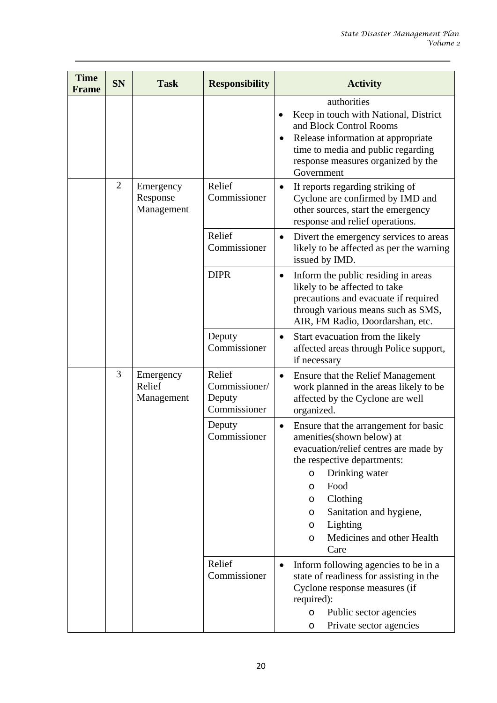| <b>Time</b><br><b>Frame</b> | <b>SN</b>      | <b>Task</b>                         | <b>Responsibility</b>                             | <b>Activity</b>                                                                                                                                                                                                                                                                                                            |
|-----------------------------|----------------|-------------------------------------|---------------------------------------------------|----------------------------------------------------------------------------------------------------------------------------------------------------------------------------------------------------------------------------------------------------------------------------------------------------------------------------|
|                             |                |                                     |                                                   | authorities<br>Keep in touch with National, District<br>and Block Control Rooms<br>Release information at appropriate<br>$\bullet$<br>time to media and public regarding<br>response measures organized by the<br>Government                                                                                               |
|                             | $\overline{2}$ | Emergency<br>Response<br>Management | Relief<br>Commissioner                            | If reports regarding striking of<br>$\bullet$<br>Cyclone are confirmed by IMD and<br>other sources, start the emergency<br>response and relief operations.                                                                                                                                                                 |
|                             |                |                                     | Relief<br>Commissioner                            | Divert the emergency services to areas<br>$\bullet$<br>likely to be affected as per the warning<br>issued by IMD.                                                                                                                                                                                                          |
|                             |                |                                     | <b>DIPR</b>                                       | Inform the public residing in areas<br>$\bullet$<br>likely to be affected to take<br>precautions and evacuate if required<br>through various means such as SMS,<br>AIR, FM Radio, Doordarshan, etc.                                                                                                                        |
|                             |                |                                     | Deputy<br>Commissioner                            | Start evacuation from the likely<br>$\bullet$<br>affected areas through Police support,<br>if necessary                                                                                                                                                                                                                    |
|                             | 3              | Emergency<br>Relief<br>Management   | Relief<br>Commissioner/<br>Deputy<br>Commissioner | <b>Ensure that the Relief Management</b><br>$\bullet$<br>work planned in the areas likely to be<br>affected by the Cyclone are well<br>organized.                                                                                                                                                                          |
|                             |                |                                     | Deputy<br>Commissioner                            | Ensure that the arrangement for basic<br>$\bullet$<br>amenities(shown below) at<br>evacuation/relief centres are made by<br>the respective departments:<br>Drinking water<br>$\circ$<br>Food<br>O<br>Clothing<br>$\circ$<br>Sanitation and hygiene,<br>O<br>Lighting<br>$\circ$<br>Medicines and other Health<br>O<br>Care |
|                             |                |                                     | Relief<br>Commissioner                            | Inform following agencies to be in a<br>$\bullet$<br>state of readiness for assisting in the<br>Cyclone response measures (if<br>required):<br>Public sector agencies<br>$\circ$<br>Private sector agencies<br>O                                                                                                           |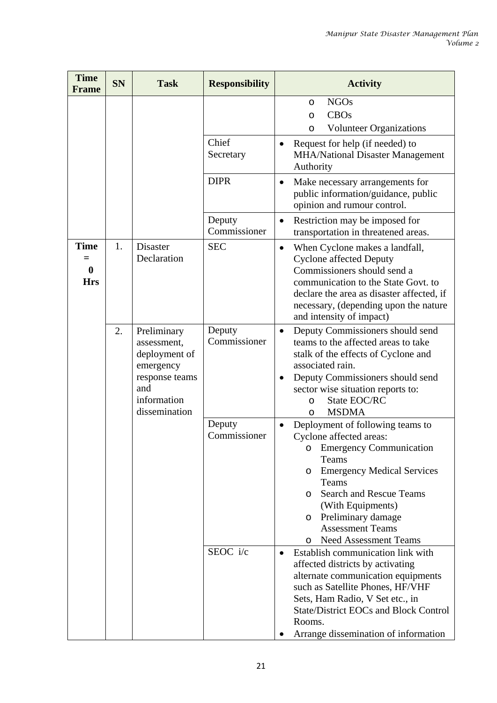| <b>Time</b><br><b>Frame</b>                   | <b>SN</b> | <b>Task</b>                                                                                                       | <b>Responsibility</b>              | <b>Activity</b>                                                                                                                                                                                                                                                                                                                                                                                                                                                                                                                                                                                                                                 |
|-----------------------------------------------|-----------|-------------------------------------------------------------------------------------------------------------------|------------------------------------|-------------------------------------------------------------------------------------------------------------------------------------------------------------------------------------------------------------------------------------------------------------------------------------------------------------------------------------------------------------------------------------------------------------------------------------------------------------------------------------------------------------------------------------------------------------------------------------------------------------------------------------------------|
|                                               |           |                                                                                                                   | Chief                              | <b>NGOs</b><br>O<br><b>CBOs</b><br>O<br><b>Volunteer Organizations</b><br>$\circ$<br>Request for help (if needed) to<br>$\bullet$                                                                                                                                                                                                                                                                                                                                                                                                                                                                                                               |
|                                               |           |                                                                                                                   | Secretary                          | <b>MHA/National Disaster Management</b><br>Authority                                                                                                                                                                                                                                                                                                                                                                                                                                                                                                                                                                                            |
|                                               |           |                                                                                                                   | <b>DIPR</b>                        | Make necessary arrangements for<br>$\bullet$<br>public information/guidance, public<br>opinion and rumour control.                                                                                                                                                                                                                                                                                                                                                                                                                                                                                                                              |
|                                               |           |                                                                                                                   | Deputy<br>Commissioner             | Restriction may be imposed for<br>$\bullet$<br>transportation in threatened areas.                                                                                                                                                                                                                                                                                                                                                                                                                                                                                                                                                              |
| <b>Time</b><br>$\boldsymbol{0}$<br><b>Hrs</b> | 1.        | <b>Disaster</b><br>Declaration                                                                                    | <b>SEC</b>                         | When Cyclone makes a landfall,<br>$\bullet$<br><b>Cyclone affected Deputy</b><br>Commissioners should send a<br>communication to the State Govt. to<br>declare the area as disaster affected, if<br>necessary, (depending upon the nature<br>and intensity of impact)                                                                                                                                                                                                                                                                                                                                                                           |
|                                               | 2.        | Preliminary<br>assessment,<br>deployment of<br>emergency<br>response teams<br>and<br>information<br>dissemination | Deputy<br>Commissioner             | Deputy Commissioners should send<br>$\bullet$<br>teams to the affected areas to take<br>stalk of the effects of Cyclone and<br>associated rain.<br>Deputy Commissioners should send<br>sector wise situation reports to:<br>State EOC/RC<br>O<br><b>MSDMA</b><br>O                                                                                                                                                                                                                                                                                                                                                                              |
|                                               |           |                                                                                                                   | Deputy<br>Commissioner<br>SEOC i/c | Deployment of following teams to<br>$\bullet$<br>Cyclone affected areas:<br><b>Emergency Communication</b><br>O<br>Teams<br><b>Emergency Medical Services</b><br>O<br><b>Teams</b><br><b>Search and Rescue Teams</b><br>$\circ$<br>(With Equipments)<br>Preliminary damage<br>O<br><b>Assessment Teams</b><br><b>Need Assessment Teams</b><br>Establish communication link with<br>$\bullet$<br>affected districts by activating<br>alternate communication equipments<br>such as Satellite Phones, HF/VHF<br>Sets, Ham Radio, V Set etc., in<br><b>State/District EOCs and Block Control</b><br>Rooms.<br>Arrange dissemination of information |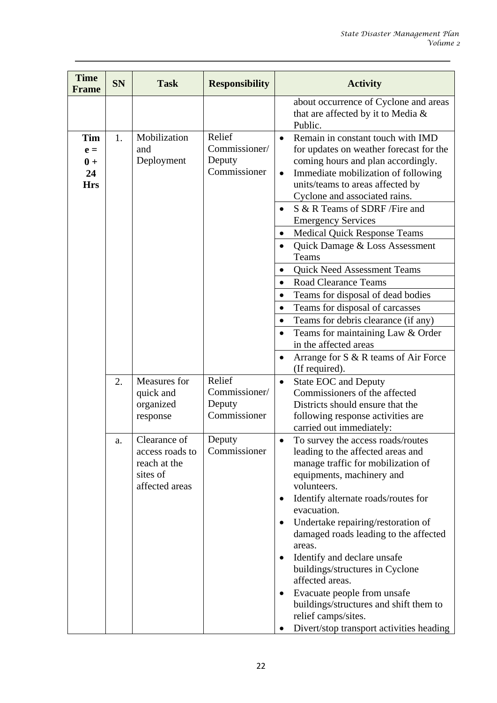| <b>Time</b><br><b>Frame</b>                              | <b>SN</b> | <b>Task</b>                                                                   | <b>Responsibility</b>                             | <b>Activity</b>                                                                                                                                                                                                                                                                                                                                                                                                                                                                                                                                                                 |
|----------------------------------------------------------|-----------|-------------------------------------------------------------------------------|---------------------------------------------------|---------------------------------------------------------------------------------------------------------------------------------------------------------------------------------------------------------------------------------------------------------------------------------------------------------------------------------------------------------------------------------------------------------------------------------------------------------------------------------------------------------------------------------------------------------------------------------|
|                                                          |           |                                                                               |                                                   | about occurrence of Cyclone and areas<br>that are affected by it to Media &<br>Public.                                                                                                                                                                                                                                                                                                                                                                                                                                                                                          |
| <b>Tim</b><br>$\mathbf{e} =$<br>$0+$<br>24<br><b>Hrs</b> | 1.        | Mobilization<br>and<br>Deployment                                             | Relief<br>Commissioner/<br>Deputy<br>Commissioner | Remain in constant touch with IMD<br>for updates on weather forecast for the<br>coming hours and plan accordingly.<br>Immediate mobilization of following<br>$\bullet$<br>units/teams to areas affected by<br>Cyclone and associated rains.<br>S & R Teams of SDRF/Fire and<br><b>Emergency Services</b>                                                                                                                                                                                                                                                                        |
|                                                          |           |                                                                               |                                                   | <b>Medical Quick Response Teams</b><br>$\bullet$<br>Quick Damage & Loss Assessment                                                                                                                                                                                                                                                                                                                                                                                                                                                                                              |
|                                                          |           |                                                                               |                                                   | Teams<br><b>Quick Need Assessment Teams</b><br><b>Road Clearance Teams</b><br>$\bullet$<br>Teams for disposal of dead bodies<br>Teams for disposal of carcasses<br>$\bullet$<br>Teams for debris clearance (if any)<br>Teams for maintaining Law & Order<br>in the affected areas<br>Arrange for S & R teams of Air Force<br>$\bullet$<br>(If required).                                                                                                                                                                                                                        |
|                                                          | 2.        | Measures for<br>quick and<br>organized<br>response                            | Relief<br>Commissioner/<br>Deputy<br>Commissioner | <b>State EOC and Deputy</b><br>$\bullet$<br>Commissioners of the affected<br>Districts should ensure that the<br>following response activities are<br>carried out immediately:                                                                                                                                                                                                                                                                                                                                                                                                  |
|                                                          | a.        | Clearance of<br>access roads to<br>reach at the<br>sites of<br>affected areas | Deputy<br>Commissioner                            | To survey the access roads/routes<br>leading to the affected areas and<br>manage traffic for mobilization of<br>equipments, machinery and<br>volunteers.<br>Identify alternate roads/routes for<br>$\bullet$<br>evacuation.<br>Undertake repairing/restoration of<br>$\bullet$<br>damaged roads leading to the affected<br>areas.<br>Identify and declare unsafe<br>$\bullet$<br>buildings/structures in Cyclone<br>affected areas.<br>Evacuate people from unsafe<br>buildings/structures and shift them to<br>relief camps/sites.<br>Divert/stop transport activities heading |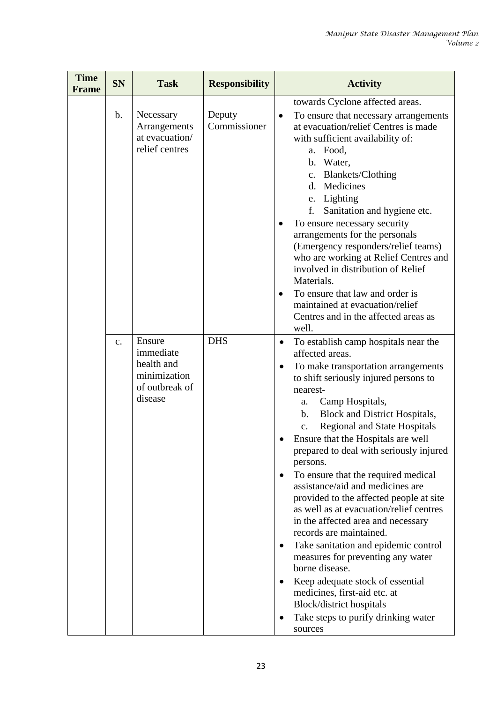| <b>Time</b><br><b>Frame</b> | <b>SN</b>     | <b>Task</b>                                                                    | <b>Responsibility</b>  | <b>Activity</b>                                                                                                                                                                                                                                                                                                                                                                                                                                                                                                                                                                                                                                                                                                                                                                                                                                                                                                       |
|-----------------------------|---------------|--------------------------------------------------------------------------------|------------------------|-----------------------------------------------------------------------------------------------------------------------------------------------------------------------------------------------------------------------------------------------------------------------------------------------------------------------------------------------------------------------------------------------------------------------------------------------------------------------------------------------------------------------------------------------------------------------------------------------------------------------------------------------------------------------------------------------------------------------------------------------------------------------------------------------------------------------------------------------------------------------------------------------------------------------|
|                             |               |                                                                                |                        | towards Cyclone affected areas.                                                                                                                                                                                                                                                                                                                                                                                                                                                                                                                                                                                                                                                                                                                                                                                                                                                                                       |
|                             | $b$ .         | Necessary<br>Arrangements<br>at evacuation/<br>relief centres                  | Deputy<br>Commissioner | To ensure that necessary arrangements<br>$\bullet$<br>at evacuation/relief Centres is made<br>with sufficient availability of:<br>Food,<br>a.<br>b. Water,<br>c. Blankets/Clothing<br>Medicines<br>d.<br>e. Lighting<br>f.<br>Sanitation and hygiene etc.                                                                                                                                                                                                                                                                                                                                                                                                                                                                                                                                                                                                                                                             |
|                             |               |                                                                                |                        | To ensure necessary security<br>arrangements for the personals<br>(Emergency responders/relief teams)<br>who are working at Relief Centres and<br>involved in distribution of Relief<br>Materials.<br>To ensure that law and order is<br>$\bullet$                                                                                                                                                                                                                                                                                                                                                                                                                                                                                                                                                                                                                                                                    |
|                             |               |                                                                                |                        | maintained at evacuation/relief<br>Centres and in the affected areas as<br>well.                                                                                                                                                                                                                                                                                                                                                                                                                                                                                                                                                                                                                                                                                                                                                                                                                                      |
|                             | $C_{\bullet}$ | Ensure<br>immediate<br>health and<br>minimization<br>of outbreak of<br>disease | <b>DHS</b>             | To establish camp hospitals near the<br>$\bullet$<br>affected areas.<br>To make transportation arrangements<br>$\bullet$<br>to shift seriously injured persons to<br>nearest-<br>Camp Hospitals,<br>a.<br>Block and District Hospitals,<br>$\mathbf{b}$ .<br><b>Regional and State Hospitals</b><br>c.<br>Ensure that the Hospitals are well<br>prepared to deal with seriously injured<br>persons.<br>To ensure that the required medical<br>٠<br>assistance/aid and medicines are<br>provided to the affected people at site<br>as well as at evacuation/relief centres<br>in the affected area and necessary<br>records are maintained.<br>Take sanitation and epidemic control<br>$\bullet$<br>measures for preventing any water<br>borne disease.<br>Keep adequate stock of essential<br>$\bullet$<br>medicines, first-aid etc. at<br>Block/district hospitals<br>Take steps to purify drinking water<br>sources |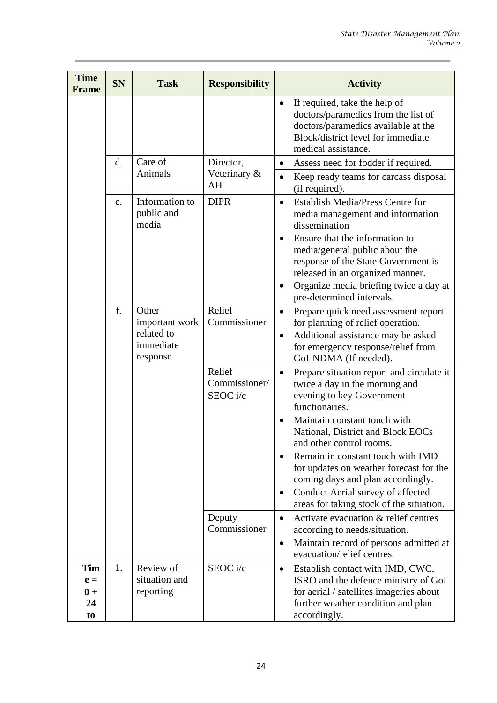| <b>Time</b><br><b>Frame</b>                      | <b>SN</b>      | <b>Task</b>                                                    | <b>Responsibility</b>               | <b>Activity</b>                                                                                                                                                                                                                                                                                                                                                                                                      |
|--------------------------------------------------|----------------|----------------------------------------------------------------|-------------------------------------|----------------------------------------------------------------------------------------------------------------------------------------------------------------------------------------------------------------------------------------------------------------------------------------------------------------------------------------------------------------------------------------------------------------------|
|                                                  |                |                                                                |                                     | If required, take the help of<br>$\bullet$<br>doctors/paramedics from the list of<br>doctors/paramedics available at the<br>Block/district level for immediate<br>medical assistance.                                                                                                                                                                                                                                |
|                                                  | $\mathbf{d}$ . | Care of                                                        | Director,                           | Assess need for fodder if required.<br>$\bullet$                                                                                                                                                                                                                                                                                                                                                                     |
|                                                  |                | Animals                                                        | Veterinary &<br>AH                  | Keep ready teams for carcass disposal<br>$\bullet$<br>(if required).                                                                                                                                                                                                                                                                                                                                                 |
|                                                  | e.             | Information to<br>public and<br>media                          | <b>DIPR</b>                         | <b>Establish Media/Press Centre for</b><br>$\bullet$<br>media management and information<br>dissemination<br>Ensure that the information to<br>$\bullet$<br>media/general public about the<br>response of the State Government is<br>released in an organized manner.<br>Organize media briefing twice a day at<br>$\bullet$<br>pre-determined intervals.                                                            |
|                                                  | f.             | Other<br>important work<br>related to<br>immediate<br>response | Relief<br>Commissioner              | Prepare quick need assessment report<br>$\bullet$<br>for planning of relief operation.<br>Additional assistance may be asked<br>$\bullet$<br>for emergency response/relief from<br>GoI-NDMA (If needed).                                                                                                                                                                                                             |
|                                                  |                |                                                                | Relief<br>Commissioner/<br>SEOC i/c | Prepare situation report and circulate it<br>$\bullet$<br>twice a day in the morning and<br>evening to key Government<br>functionaries.<br>Maintain constant touch with<br>National, District and Block EOCs<br>and other control rooms.<br>Remain in constant touch with IMD<br>$\bullet$<br>for updates on weather forecast for the<br>coming days and plan accordingly.<br>Conduct Aerial survey of affected<br>٠ |
|                                                  |                |                                                                | Deputy<br>Commissioner              | areas for taking stock of the situation.<br>Activate evacuation & relief centres<br>$\bullet$<br>according to needs/situation.<br>Maintain record of persons admitted at<br>$\bullet$<br>evacuation/relief centres.                                                                                                                                                                                                  |
| <b>Tim</b><br>$\mathbf{e} =$<br>$0+$<br>24<br>to | 1.             | Review of<br>situation and<br>reporting                        | SEOC i/c                            | Establish contact with IMD, CWC,<br>$\bullet$<br>ISRO and the defence ministry of GoI<br>for aerial / satellites imageries about<br>further weather condition and plan<br>accordingly.                                                                                                                                                                                                                               |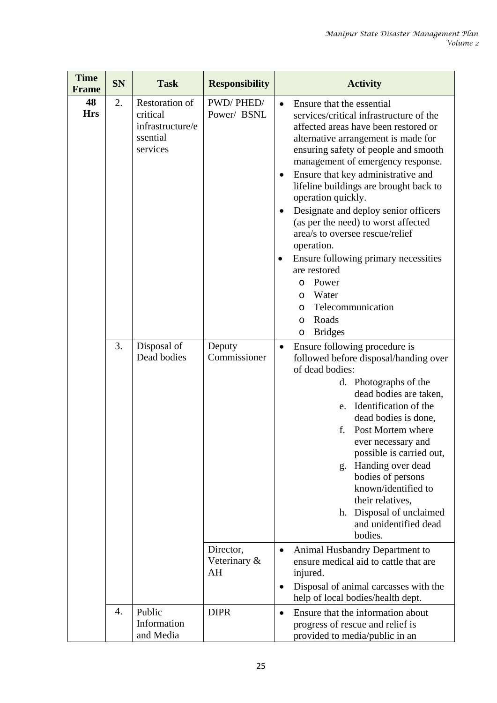| <b>Time</b><br><b>Frame</b> | <b>SN</b>        | <b>Task</b>                                                                   | <b>Responsibility</b>           | <b>Activity</b>                                                                                                                                                                                                                                                                                                                                                                                                                                                                                                                                                                                                                                                                               |
|-----------------------------|------------------|-------------------------------------------------------------------------------|---------------------------------|-----------------------------------------------------------------------------------------------------------------------------------------------------------------------------------------------------------------------------------------------------------------------------------------------------------------------------------------------------------------------------------------------------------------------------------------------------------------------------------------------------------------------------------------------------------------------------------------------------------------------------------------------------------------------------------------------|
| 48<br><b>Hrs</b>            | 2.               | <b>Restoration of</b><br>critical<br>infrastructure/e<br>ssential<br>services | PWD/PHED/<br>Power/ BSNL        | Ensure that the essential<br>$\bullet$<br>services/critical infrastructure of the<br>affected areas have been restored or<br>alternative arrangement is made for<br>ensuring safety of people and smooth<br>management of emergency response.<br>Ensure that key administrative and<br>٠<br>lifeline buildings are brought back to<br>operation quickly.<br>Designate and deploy senior officers<br>$\bullet$<br>(as per the need) to worst affected<br>area/s to oversee rescue/relief<br>operation.<br>Ensure following primary necessities<br>$\bullet$<br>are restored<br>Power<br>$\circ$<br>Water<br>$\circ$<br>Telecommunication<br>$\circ$<br>Roads<br>$\circ$<br><b>Bridges</b><br>O |
|                             | 3.               | Disposal of<br>Dead bodies                                                    | Deputy<br>Commissioner          | Ensure following procedure is<br>$\bullet$<br>followed before disposal/handing over<br>of dead bodies:<br>d. Photographs of the<br>dead bodies are taken,<br>e. Identification of the<br>dead bodies is done,<br>Post Mortem where<br>f.<br>ever necessary and<br>possible is carried out,<br>Handing over dead<br>g.<br>bodies of persons<br>known/identified to<br>their relatives,<br>h. Disposal of unclaimed<br>and unidentified dead<br>bodies.                                                                                                                                                                                                                                         |
|                             |                  |                                                                               | Director,<br>Veterinary &<br>AH | Animal Husbandry Department to<br>٠<br>ensure medical aid to cattle that are<br>injured.<br>Disposal of animal carcasses with the<br>$\bullet$<br>help of local bodies/health dept.                                                                                                                                                                                                                                                                                                                                                                                                                                                                                                           |
|                             | $\overline{4}$ . | Public<br>Information<br>and Media                                            | <b>DIPR</b>                     | Ensure that the information about<br>$\bullet$<br>progress of rescue and relief is<br>provided to media/public in an                                                                                                                                                                                                                                                                                                                                                                                                                                                                                                                                                                          |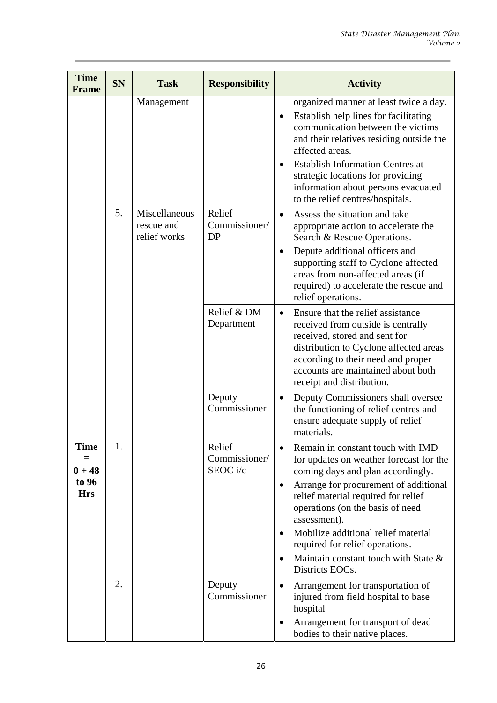| <b>Time</b><br><b>Frame</b>                    | <b>SN</b> | <b>Task</b>                                 | <b>Responsibility</b>               | <b>Activity</b>                                                                                                                                                                                                                                                                                                                                                                                                      |
|------------------------------------------------|-----------|---------------------------------------------|-------------------------------------|----------------------------------------------------------------------------------------------------------------------------------------------------------------------------------------------------------------------------------------------------------------------------------------------------------------------------------------------------------------------------------------------------------------------|
|                                                |           | Management                                  |                                     | organized manner at least twice a day.<br>Establish help lines for facilitating<br>$\bullet$<br>communication between the victims<br>and their relatives residing outside the<br>affected areas.<br><b>Establish Information Centres at</b><br>strategic locations for providing<br>information about persons evacuated<br>to the relief centres/hospitals.                                                          |
|                                                | 5.        | Miscellaneous<br>rescue and<br>relief works | Relief<br>Commissioner/<br>DP       | Assess the situation and take<br>appropriate action to accelerate the<br>Search & Rescue Operations.<br>Depute additional officers and<br>$\bullet$<br>supporting staff to Cyclone affected<br>areas from non-affected areas (if<br>required) to accelerate the rescue and<br>relief operations.                                                                                                                     |
|                                                |           |                                             | Relief & DM<br>Department           | Ensure that the relief assistance<br>$\bullet$<br>received from outside is centrally<br>received, stored and sent for<br>distribution to Cyclone affected areas<br>according to their need and proper<br>accounts are maintained about both<br>receipt and distribution.                                                                                                                                             |
|                                                |           |                                             | Deputy<br>Commissioner              | Deputy Commissioners shall oversee<br>$\bullet$<br>the functioning of relief centres and<br>ensure adequate supply of relief<br>materials.                                                                                                                                                                                                                                                                           |
| Time<br>$=$<br>$0 + 48$<br>to 96<br><b>Hrs</b> | 1.        |                                             | Relief<br>Commissioner/<br>SEOC i/c | Remain in constant touch with IMD<br>for updates on weather forecast for the<br>coming days and plan accordingly.<br>Arrange for procurement of additional<br>relief material required for relief<br>operations (on the basis of need<br>assessment).<br>Mobilize additional relief material<br>$\bullet$<br>required for relief operations.<br>Maintain constant touch with State &<br>$\bullet$<br>Districts EOCs. |
|                                                | 2.        |                                             | Deputy<br>Commissioner              | Arrangement for transportation of<br>٠<br>injured from field hospital to base<br>hospital<br>Arrangement for transport of dead<br>bodies to their native places.                                                                                                                                                                                                                                                     |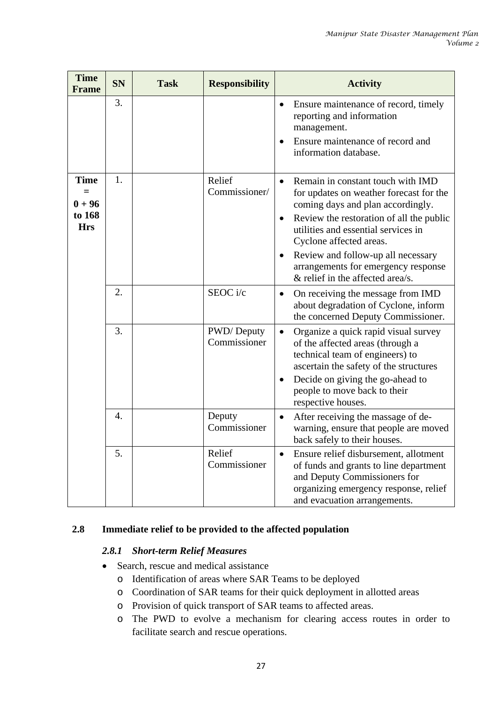| <b>Time</b><br><b>Frame</b>                            | <b>SN</b>        | <b>Task</b> | <b>Responsibility</b>      | <b>Activity</b>                                                                                                                                                                                                                                                                                                                                                                         |
|--------------------------------------------------------|------------------|-------------|----------------------------|-----------------------------------------------------------------------------------------------------------------------------------------------------------------------------------------------------------------------------------------------------------------------------------------------------------------------------------------------------------------------------------------|
|                                                        | 3.               |             |                            | Ensure maintenance of record, timely<br>$\bullet$<br>reporting and information<br>management.<br>Ensure maintenance of record and<br>information database.                                                                                                                                                                                                                              |
| <b>Time</b><br>$=$<br>$0 + 96$<br>to 168<br><b>Hrs</b> | 1.               |             | Relief<br>Commissioner/    | Remain in constant touch with IMD<br>$\bullet$<br>for updates on weather forecast for the<br>coming days and plan accordingly.<br>Review the restoration of all the public<br>$\bullet$<br>utilities and essential services in<br>Cyclone affected areas.<br>Review and follow-up all necessary<br>$\bullet$<br>arrangements for emergency response<br>& relief in the affected area/s. |
|                                                        | 2.               |             | SEOC i/c                   | On receiving the message from IMD<br>$\bullet$<br>about degradation of Cyclone, inform<br>the concerned Deputy Commissioner.                                                                                                                                                                                                                                                            |
|                                                        | 3.               |             | PWD/Deputy<br>Commissioner | Organize a quick rapid visual survey<br>$\bullet$<br>of the affected areas (through a<br>technical team of engineers) to<br>ascertain the safety of the structures<br>Decide on giving the go-ahead to<br>$\bullet$<br>people to move back to their<br>respective houses.                                                                                                               |
|                                                        | $\overline{4}$ . |             | Deputy<br>Commissioner     | After receiving the massage of de-<br>$\bullet$<br>warning, ensure that people are moved<br>back safely to their houses.                                                                                                                                                                                                                                                                |
|                                                        | 5.               |             | Relief<br>Commissioner     | Ensure relief disbursement, allotment<br>$\bullet$<br>of funds and grants to line department<br>and Deputy Commissioners for<br>organizing emergency response, relief<br>and evacuation arrangements.                                                                                                                                                                                   |

#### **2.8 Immediate relief to be provided to the affected population**

#### *2.8.1 Short-term Relief Measures*

- Search, rescue and medical assistance
	- o Identification of areas where SAR Teams to be deployed
	- o Coordination of SAR teams for their quick deployment in allotted areas
	- o Provision of quick transport of SAR teams to affected areas.
	- o The PWD to evolve a mechanism for clearing access routes in order to facilitate search and rescue operations.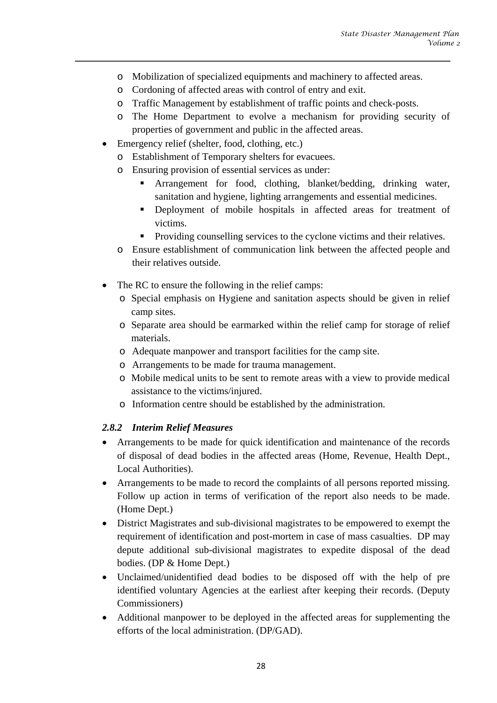- o Mobilization of specialized equipments and machinery to affected areas.
- o Cordoning of affected areas with control of entry and exit.
- o Traffic Management by establishment of traffic points and check-posts.
- o The Home Department to evolve a mechanism for providing security of properties of government and public in the affected areas.
- Emergency relief (shelter, food, clothing, etc.)
	- o Establishment of Temporary shelters for evacuees.
	- o Ensuring provision of essential services as under:
		- Arrangement for food, clothing, blanket/bedding, drinking water, sanitation and hygiene, lighting arrangements and essential medicines.
		- Deployment of mobile hospitals in affected areas for treatment of victims.
		- Providing counselling services to the cyclone victims and their relatives.
	- o Ensure establishment of communication link between the affected people and their relatives outside.
- The RC to ensure the following in the relief camps:
	- o Special emphasis on Hygiene and sanitation aspects should be given in relief camp sites.
	- o Separate area should be earmarked within the relief camp for storage of relief materials.
	- o Adequate manpower and transport facilities for the camp site.
	- o Arrangements to be made for trauma management.
	- o Mobile medical units to be sent to remote areas with a view to provide medical assistance to the victims/injured.
	- o Information centre should be established by the administration.

#### *2.8.2 Interim Relief Measures*

- Arrangements to be made for quick identification and maintenance of the records of disposal of dead bodies in the affected areas (Home, Revenue, Health Dept., Local Authorities).
- Arrangements to be made to record the complaints of all persons reported missing. Follow up action in terms of verification of the report also needs to be made. (Home Dept.)
- District Magistrates and sub-divisional magistrates to be empowered to exempt the requirement of identification and post-mortem in case of mass casualties. DP may depute additional sub-divisional magistrates to expedite disposal of the dead bodies. (DP & Home Dept.)
- Unclaimed/unidentified dead bodies to be disposed off with the help of pre identified voluntary Agencies at the earliest after keeping their records. (Deputy Commissioners)
- Additional manpower to be deployed in the affected areas for supplementing the efforts of the local administration. (DP/GAD).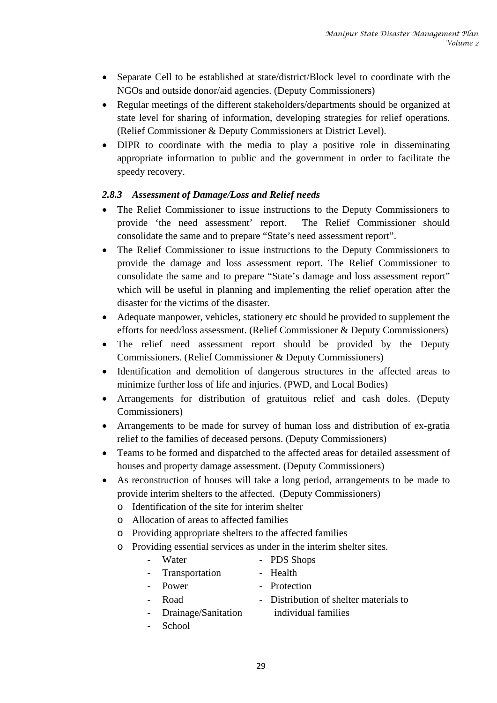- Separate Cell to be established at state/district/Block level to coordinate with the NGOs and outside donor/aid agencies. (Deputy Commissioners)
- Regular meetings of the different stakeholders/departments should be organized at state level for sharing of information, developing strategies for relief operations. (Relief Commissioner & Deputy Commissioners at District Level).
- DIPR to coordinate with the media to play a positive role in disseminating appropriate information to public and the government in order to facilitate the speedy recovery.

#### *2.8.3 Assessment of Damage/Loss and Relief needs*

- The Relief Commissioner to issue instructions to the Deputy Commissioners to provide 'the need assessment' report. The Relief Commissioner should consolidate the same and to prepare "State's need assessment report".
- The Relief Commissioner to issue instructions to the Deputy Commissioners to provide the damage and loss assessment report. The Relief Commissioner to consolidate the same and to prepare "State's damage and loss assessment report" which will be useful in planning and implementing the relief operation after the disaster for the victims of the disaster.
- Adequate manpower, vehicles, stationery etc should be provided to supplement the efforts for need/loss assessment. (Relief Commissioner & Deputy Commissioners)
- The relief need assessment report should be provided by the Deputy Commissioners. (Relief Commissioner & Deputy Commissioners)
- Identification and demolition of dangerous structures in the affected areas to minimize further loss of life and injuries. (PWD, and Local Bodies)
- Arrangements for distribution of gratuitous relief and cash doles. (Deputy Commissioners)
- Arrangements to be made for survey of human loss and distribution of ex-gratia relief to the families of deceased persons. (Deputy Commissioners)
- Teams to be formed and dispatched to the affected areas for detailed assessment of houses and property damage assessment. (Deputy Commissioners)
- As reconstruction of houses will take a long period, arrangements to be made to provide interim shelters to the affected. (Deputy Commissioners)
	- o Identification of the site for interim shelter
	- o Allocation of areas to affected families
	- o Providing appropriate shelters to the affected families
	- o Providing essential services as under in the interim shelter sites.
		- PDS Shops
		- Transportation - Health
			- Protection
		- Road

Power

- Water

- Distribution of shelter materials to
- Drainage/Sanitation
- individual families
- School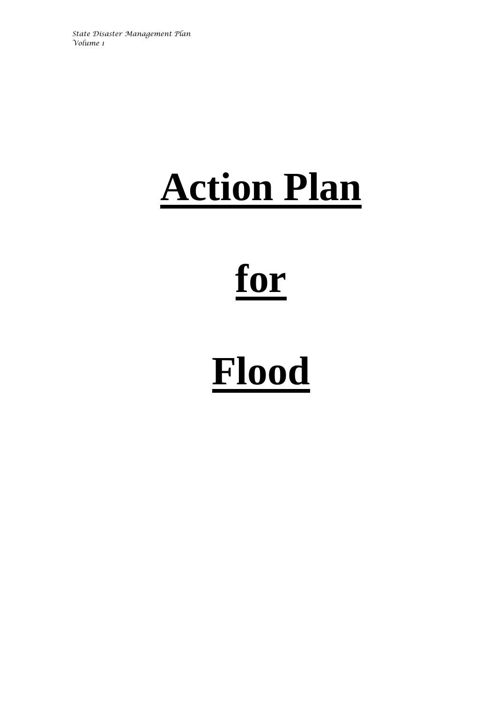# **Action Plan**

# **for**

# **Flood**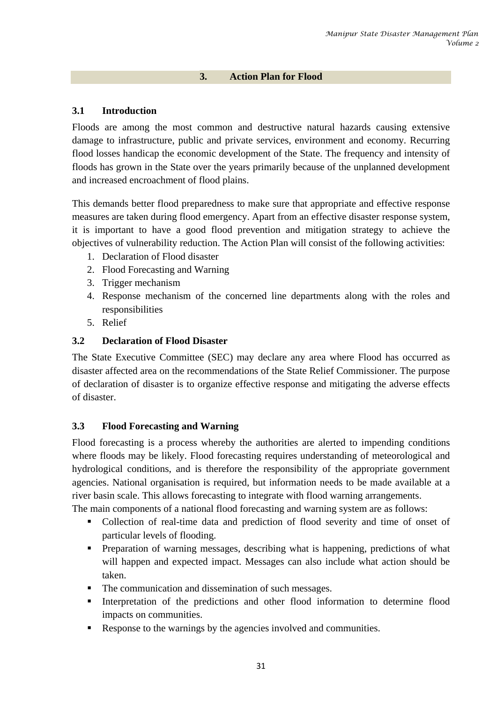#### **3. Action Plan for Flood**

#### **3.1 Introduction**

Floods are among the most common and destructive natural hazards causing extensive damage to infrastructure, public and private services, environment and economy. Recurring flood losses handicap the economic development of the State. The frequency and intensity of floods has grown in the State over the years primarily because of the unplanned development and increased encroachment of flood plains.

This demands better flood preparedness to make sure that appropriate and effective response measures are taken during flood emergency. Apart from an effective disaster response system, it is important to have a good flood prevention and mitigation strategy to achieve the objectives of vulnerability reduction. The Action Plan will consist of the following activities:

- 1. Declaration of Flood disaster
- 2. Flood Forecasting and Warning
- 3. Trigger mechanism
- 4. Response mechanism of the concerned line departments along with the roles and responsibilities
- 5. Relief

#### **3.2 Declaration of Flood Disaster**

The State Executive Committee (SEC) may declare any area where Flood has occurred as disaster affected area on the recommendations of the State Relief Commissioner. The purpose of declaration of disaster is to organize effective response and mitigating the adverse effects of disaster.

#### **3.3 Flood Forecasting and Warning**

Flood forecasting is a process whereby the authorities are alerted to impending conditions where floods may be likely. Flood forecasting requires understanding of meteorological and hydrological conditions, and is therefore the responsibility of the appropriate government agencies. National organisation is required, but information needs to be made available at a river basin scale. This allows forecasting to integrate with flood warning arrangements.

The main components of a national flood forecasting and warning system are as follows:

- Collection of real-time data and prediction of flood severity and time of onset of particular levels of flooding.
- **Preparation of warning messages, describing what is happening, predictions of what** will happen and expected impact. Messages can also include what action should be taken.
- The communication and dissemination of such messages.
- Interpretation of the predictions and other flood information to determine flood impacts on communities.
- Response to the warnings by the agencies involved and communities.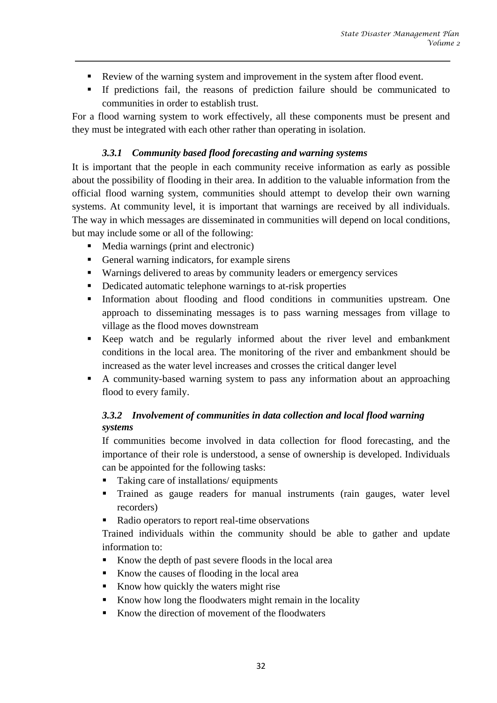- Review of the warning system and improvement in the system after flood event.
- If predictions fail, the reasons of prediction failure should be communicated to communities in order to establish trust.

For a flood warning system to work effectively, all these components must be present and they must be integrated with each other rather than operating in isolation.

#### *3.3.1 Community based flood forecasting and warning systems*

It is important that the people in each community receive information as early as possible about the possibility of flooding in their area. In addition to the valuable information from the official flood warning system, communities should attempt to develop their own warning systems. At community level, it is important that warnings are received by all individuals. The way in which messages are disseminated in communities will depend on local conditions, but may include some or all of the following:

- Media warnings (print and electronic)
- General warning indicators, for example sirens
- Warnings delivered to areas by community leaders or emergency services
- **•** Dedicated automatic telephone warnings to at-risk properties
- Information about flooding and flood conditions in communities upstream. One approach to disseminating messages is to pass warning messages from village to village as the flood moves downstream
- Keep watch and be regularly informed about the river level and embankment conditions in the local area. The monitoring of the river and embankment should be increased as the water level increases and crosses the critical danger level
- A community-based warning system to pass any information about an approaching flood to every family.

#### *3.3.2 Involvement of communities in data collection and local flood warning systems*

If communities become involved in data collection for flood forecasting, and the importance of their role is understood, a sense of ownership is developed. Individuals can be appointed for the following tasks:

- Taking care of installations/ equipments
- **Trained as gauge readers for manual instruments (rain gauges, water level)** recorders)
- Radio operators to report real-time observations

Trained individuals within the community should be able to gather and update information to:

- Know the depth of past severe floods in the local area
- Know the causes of flooding in the local area
- Know how quickly the waters might rise
- Know how long the floodwaters might remain in the locality
- Know the direction of movement of the floodwaters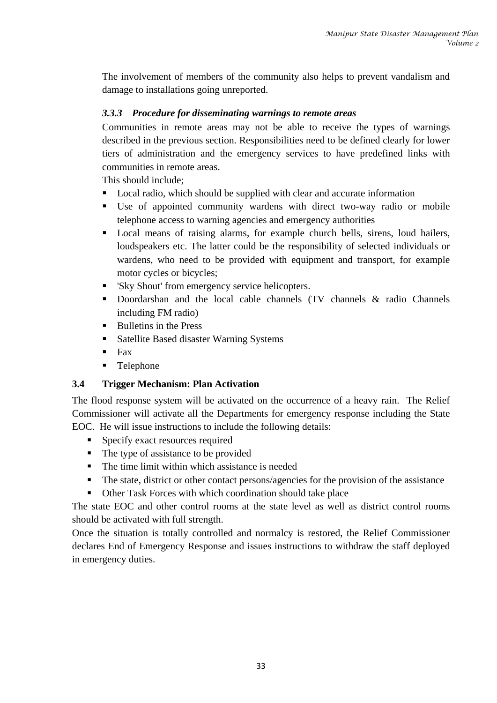The involvement of members of the community also helps to prevent vandalism and damage to installations going unreported.

#### *3.3.3 Procedure for disseminating warnings to remote areas*

Communities in remote areas may not be able to receive the types of warnings described in the previous section. Responsibilities need to be defined clearly for lower tiers of administration and the emergency services to have predefined links with communities in remote areas.

This should include;

- Local radio, which should be supplied with clear and accurate information
- Use of appointed community wardens with direct two-way radio or mobile telephone access to warning agencies and emergency authorities
- Local means of raising alarms, for example church bells, sirens, loud hailers, loudspeakers etc. The latter could be the responsibility of selected individuals or wardens, who need to be provided with equipment and transport, for example motor cycles or bicycles;
- 'Sky Shout' from emergency service helicopters.
- **Doordarshan and the local cable channels (TV channels & radio Channels** including FM radio)
- Bulletins in the Press
- Satellite Based disaster Warning Systems
- $\blacksquare$  Fax
- **Telephone**

#### **3.4 Trigger Mechanism: Plan Activation**

The flood response system will be activated on the occurrence of a heavy rain. The Relief Commissioner will activate all the Departments for emergency response including the State EOC. He will issue instructions to include the following details:

- **Specify exact resources required**
- The type of assistance to be provided
- The time limit within which assistance is needed
- The state, district or other contact persons/agencies for the provision of the assistance
- Other Task Forces with which coordination should take place

The state EOC and other control rooms at the state level as well as district control rooms should be activated with full strength.

Once the situation is totally controlled and normalcy is restored, the Relief Commissioner declares End of Emergency Response and issues instructions to withdraw the staff deployed in emergency duties.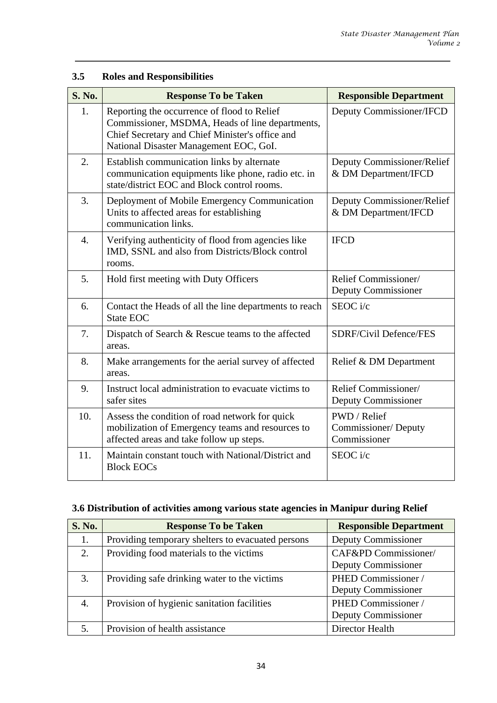| <b>S. No.</b>    | <b>Response To be Taken</b>                                                                                                                                                                 | <b>Responsible Department</b>                              |
|------------------|---------------------------------------------------------------------------------------------------------------------------------------------------------------------------------------------|------------------------------------------------------------|
| 1.               | Reporting the occurrence of flood to Relief<br>Commissioner, MSDMA, Heads of line departments,<br>Chief Secretary and Chief Minister's office and<br>National Disaster Management EOC, GoI. | Deputy Commissioner/IFCD                                   |
| 2.               | Establish communication links by alternate<br>communication equipments like phone, radio etc. in<br>state/district EOC and Block control rooms.                                             | Deputy Commissioner/Relief<br>& DM Department/IFCD         |
| 3.               | Deployment of Mobile Emergency Communication<br>Units to affected areas for establishing<br>communication links.                                                                            | Deputy Commissioner/Relief<br>& DM Department/IFCD         |
| $\overline{4}$ . | Verifying authenticity of flood from agencies like<br>IMD, SSNL and also from Districts/Block control<br>rooms.                                                                             | <b>IFCD</b>                                                |
| 5.               | Hold first meeting with Duty Officers                                                                                                                                                       | Relief Commissioner/<br>Deputy Commissioner                |
| 6.               | Contact the Heads of all the line departments to reach<br><b>State EOC</b>                                                                                                                  | SEOC i/c                                                   |
| 7.               | Dispatch of Search & Rescue teams to the affected<br>areas.                                                                                                                                 | <b>SDRF/Civil Defence/FES</b>                              |
| 8.               | Make arrangements for the aerial survey of affected<br>areas.                                                                                                                               | Relief & DM Department                                     |
| 9.               | Instruct local administration to evacuate victims to<br>safer sites                                                                                                                         | Relief Commissioner/<br>Deputy Commissioner                |
| 10.              | Assess the condition of road network for quick<br>mobilization of Emergency teams and resources to<br>affected areas and take follow up steps.                                              | PWD / Relief<br><b>Commissioner/Deputy</b><br>Commissioner |
| 11.              | Maintain constant touch with National/District and<br><b>Block EOCs</b>                                                                                                                     | SEOC i/c                                                   |

# **3.5 Roles and Responsibilities**

# **3.6 Distribution of activities among various state agencies in Manipur during Relief**

| <b>S. No.</b> | <b>Response To be Taken</b>                       | <b>Responsible Department</b> |
|---------------|---------------------------------------------------|-------------------------------|
| 1.            | Providing temporary shelters to evacuated persons | Deputy Commissioner           |
| 2.            | Providing food materials to the victims           | CAF&PD Commissioner/          |
|               |                                                   | Deputy Commissioner           |
| 3.            | Providing safe drinking water to the victims      | PHED Commissioner /           |
|               |                                                   | Deputy Commissioner           |
| 4.            | Provision of hygienic sanitation facilities       | PHED Commissioner /           |
|               |                                                   | Deputy Commissioner           |
| 5.            | Provision of health assistance                    | Director Health               |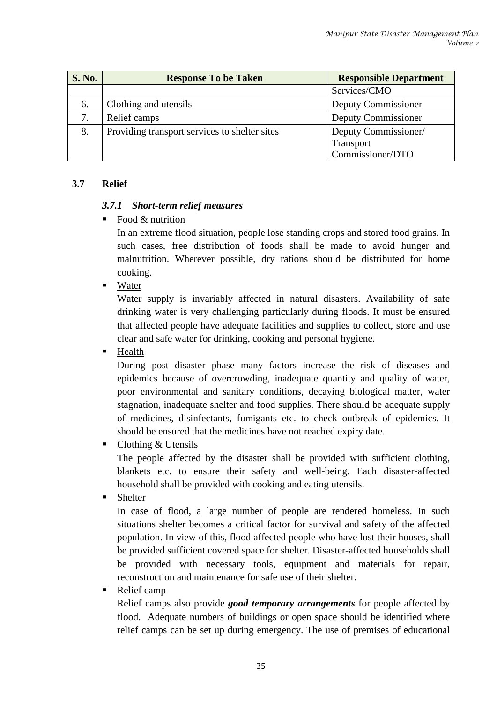| <b>S. No.</b> | <b>Response To be Taken</b>                   | <b>Responsible Department</b>     |
|---------------|-----------------------------------------------|-----------------------------------|
|               |                                               | Services/CMO                      |
| 6.            | Clothing and utensils                         | Deputy Commissioner               |
| 7.            | Relief camps                                  | Deputy Commissioner               |
| 8.            | Providing transport services to shelter sites | Deputy Commissioner/<br>Transport |
|               |                                               | Commissioner/DTO                  |

#### **3.7 Relief**

#### *3.7.1 Short-term relief measures*

Food  $&$  nutrition

In an extreme flood situation, people lose standing crops and stored food grains. In such cases, free distribution of foods shall be made to avoid hunger and malnutrition. Wherever possible, dry rations should be distributed for home cooking.

■ Water

Water supply is invariably affected in natural disasters. Availability of safe drinking water is very challenging particularly during floods. It must be ensured that affected people have adequate facilities and supplies to collect, store and use clear and safe water for drinking, cooking and personal hygiene.

**Health** 

During post disaster phase many factors increase the risk of diseases and epidemics because of overcrowding, inadequate quantity and quality of water, poor environmental and sanitary conditions, decaying biological matter, water stagnation, inadequate shelter and food supplies. There should be adequate supply of medicines, disinfectants, fumigants etc. to check outbreak of epidemics. It should be ensured that the medicines have not reached expiry date.

Clothing & Utensils

The people affected by the disaster shall be provided with sufficient clothing, blankets etc. to ensure their safety and well-being. Each disaster-affected household shall be provided with cooking and eating utensils.

**Shelter** 

In case of flood, a large number of people are rendered homeless. In such situations shelter becomes a critical factor for survival and safety of the affected population. In view of this, flood affected people who have lost their houses, shall be provided sufficient covered space for shelter. Disaster-affected households shall be provided with necessary tools, equipment and materials for repair, reconstruction and maintenance for safe use of their shelter.

• Relief camp

Relief camps also provide *good temporary arrangements* for people affected by flood. Adequate numbers of buildings or open space should be identified where relief camps can be set up during emergency. The use of premises of educational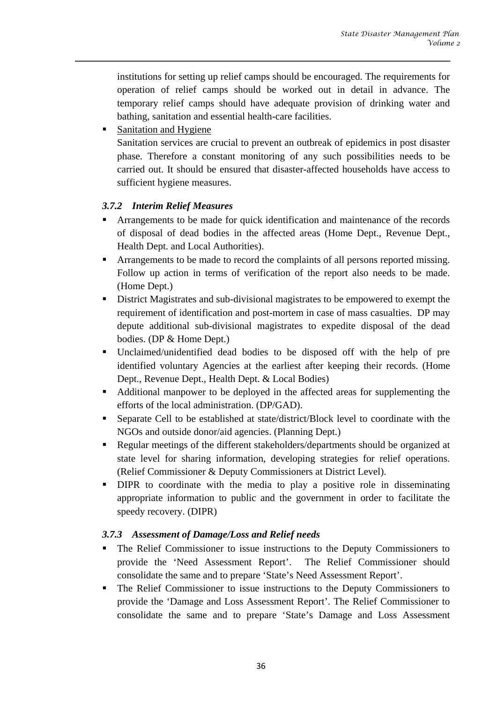institutions for setting up relief camps should be encouraged. The requirements for operation of relief camps should be worked out in detail in advance. The temporary relief camps should have adequate provision of drinking water and bathing, sanitation and essential health-care facilities.

Sanitation and Hygiene

Sanitation services are crucial to prevent an outbreak of epidemics in post disaster phase. Therefore a constant monitoring of any such possibilities needs to be carried out. It should be ensured that disaster-affected households have access to sufficient hygiene measures.

#### *3.7.2 Interim Relief Measures*

- Arrangements to be made for quick identification and maintenance of the records of disposal of dead bodies in the affected areas (Home Dept., Revenue Dept., Health Dept. and Local Authorities).
- Arrangements to be made to record the complaints of all persons reported missing. Follow up action in terms of verification of the report also needs to be made. (Home Dept.)
- District Magistrates and sub-divisional magistrates to be empowered to exempt the requirement of identification and post-mortem in case of mass casualties. DP may depute additional sub-divisional magistrates to expedite disposal of the dead bodies. (DP & Home Dept.)
- Unclaimed/unidentified dead bodies to be disposed off with the help of pre identified voluntary Agencies at the earliest after keeping their records. (Home Dept., Revenue Dept., Health Dept. & Local Bodies)
- Additional manpower to be deployed in the affected areas for supplementing the efforts of the local administration. (DP/GAD).
- Separate Cell to be established at state/district/Block level to coordinate with the NGOs and outside donor/aid agencies. (Planning Dept.)
- Regular meetings of the different stakeholders/departments should be organized at state level for sharing information, developing strategies for relief operations. (Relief Commissioner & Deputy Commissioners at District Level).
- DIPR to coordinate with the media to play a positive role in disseminating appropriate information to public and the government in order to facilitate the speedy recovery. (DIPR)

#### *3.7.3 Assessment of Damage/Loss and Relief needs*

- The Relief Commissioner to issue instructions to the Deputy Commissioners to provide the 'Need Assessment Report'. The Relief Commissioner should consolidate the same and to prepare 'State's Need Assessment Report'.
- The Relief Commissioner to issue instructions to the Deputy Commissioners to provide the 'Damage and Loss Assessment Report'. The Relief Commissioner to consolidate the same and to prepare 'State's Damage and Loss Assessment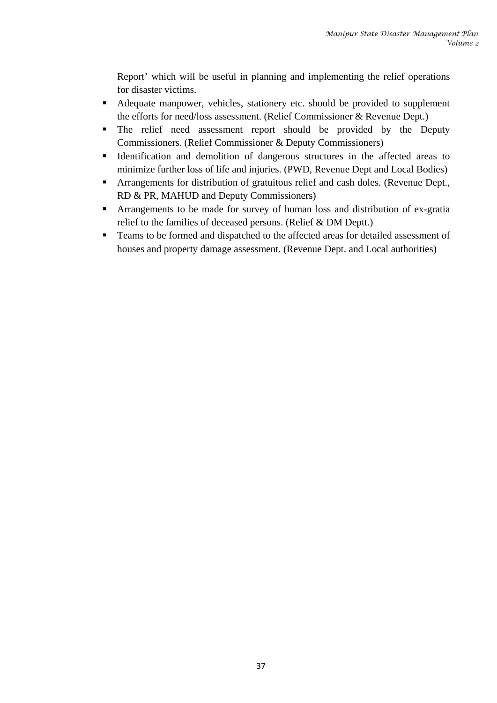Report' which will be useful in planning and implementing the relief operations for disaster victims.

- Adequate manpower, vehicles, stationery etc. should be provided to supplement the efforts for need/loss assessment. (Relief Commissioner & Revenue Dept.)
- The relief need assessment report should be provided by the Deputy Commissioners. (Relief Commissioner & Deputy Commissioners)
- Identification and demolition of dangerous structures in the affected areas to minimize further loss of life and injuries. (PWD, Revenue Dept and Local Bodies)
- Arrangements for distribution of gratuitous relief and cash doles. (Revenue Dept., RD & PR, MAHUD and Deputy Commissioners)
- Arrangements to be made for survey of human loss and distribution of ex-gratia relief to the families of deceased persons. (Relief & DM Deptt.)
- Teams to be formed and dispatched to the affected areas for detailed assessment of houses and property damage assessment. (Revenue Dept. and Local authorities)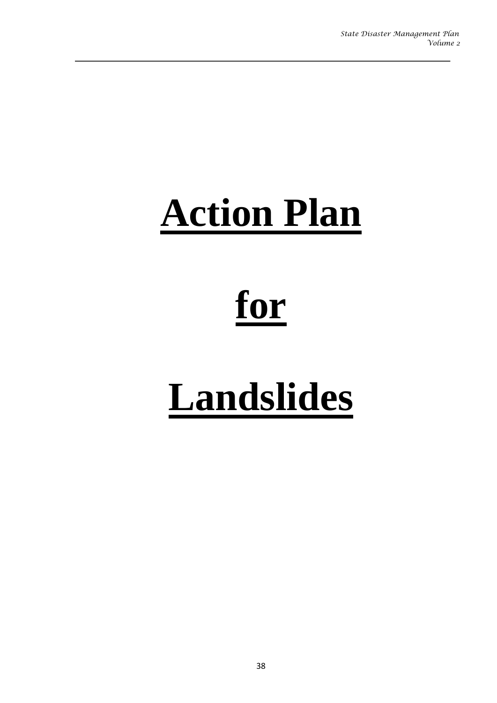# **Action Plan**

# **for Landslides**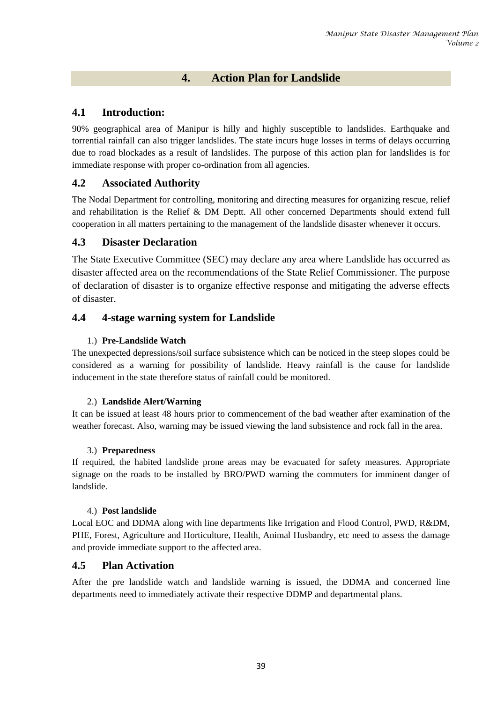# **4. Action Plan for Landslide**

# **4.1 Introduction:**

90% geographical area of Manipur is hilly and highly susceptible to landslides. Earthquake and torrential rainfall can also trigger landslides. The state incurs huge losses in terms of delays occurring due to road blockades as a result of landslides. The purpose of this action plan for landslides is for immediate response with proper co-ordination from all agencies.

# **4.2 Associated Authority**

The Nodal Department for controlling, monitoring and directing measures for organizing rescue, relief and rehabilitation is the Relief & DM Deptt. All other concerned Departments should extend full cooperation in all matters pertaining to the management of the landslide disaster whenever it occurs.

#### **4.3 Disaster Declaration**

The State Executive Committee (SEC) may declare any area where Landslide has occurred as disaster affected area on the recommendations of the State Relief Commissioner. The purpose of declaration of disaster is to organize effective response and mitigating the adverse effects of disaster.

#### **4.4 4-stage warning system for Landslide**

#### 1.) **Pre-Landslide Watch**

The unexpected depressions/soil surface subsistence which can be noticed in the steep slopes could be considered as a warning for possibility of landslide. Heavy rainfall is the cause for landslide inducement in the state therefore status of rainfall could be monitored.

#### 2.) **Landslide Alert/Warning**

It can be issued at least 48 hours prior to commencement of the bad weather after examination of the weather forecast. Also, warning may be issued viewing the land subsistence and rock fall in the area.

#### 3.) **Preparedness**

If required, the habited landslide prone areas may be evacuated for safety measures. Appropriate signage on the roads to be installed by BRO/PWD warning the commuters for imminent danger of landslide.

#### 4.) **Post landslide**

Local EOC and DDMA along with line departments like Irrigation and Flood Control, PWD, R&DM, PHE, Forest, Agriculture and Horticulture, Health, Animal Husbandry, etc need to assess the damage and provide immediate support to the affected area.

#### **4.5 Plan Activation**

After the pre landslide watch and landslide warning is issued, the DDMA and concerned line departments need to immediately activate their respective DDMP and departmental plans.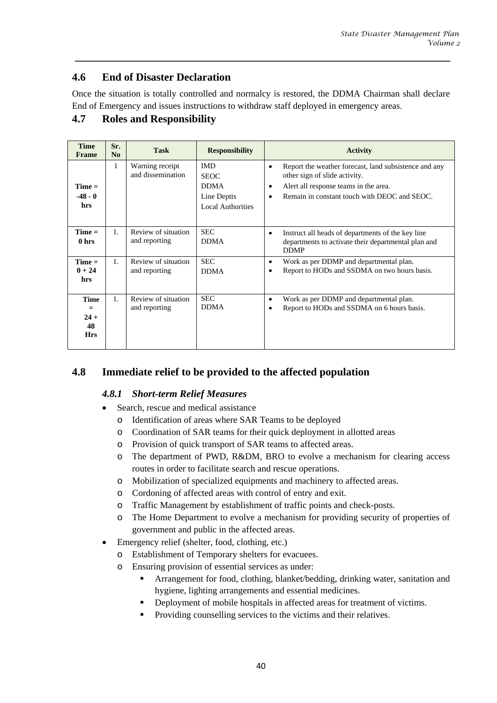# **4.6 End of Disaster Declaration**

Once the situation is totally controlled and normalcy is restored, the DDMA Chairman shall declare End of Emergency and issues instructions to withdraw staff deployed in emergency areas.

# **4.7 Roles and Responsibility**

| <b>Time</b><br>Frame                      | Sr.<br>N <sub>0</sub> | <b>Task</b>                          | <b>Responsibility</b>                                                               | <b>Activity</b>                                                                                                                                                                                   |
|-------------------------------------------|-----------------------|--------------------------------------|-------------------------------------------------------------------------------------|---------------------------------------------------------------------------------------------------------------------------------------------------------------------------------------------------|
| $Time =$<br>$-48 - 0$<br>hrs              | 1                     | Warning receipt<br>and dissemination | <b>IMD</b><br><b>SEOC</b><br><b>DDMA</b><br>Line Deptts<br><b>Local Authorities</b> | Report the weather forecast, land subsistence and any<br>$\bullet$<br>other sign of slide activity.<br>Alert all response teams in the area.<br>٠<br>Remain in constant touch with DEOC and SEOC. |
| $Time =$<br>0 <sub>hrs</sub>              | 1.                    | Review of situation<br>and reporting | <b>SEC</b><br><b>DDMA</b>                                                           | Instruct all heads of departments of the key line<br>$\bullet$<br>departments to activate their departmental plan and<br><b>DDMP</b>                                                              |
| $Time =$<br>$0 + 24$<br>hrs               | $1_{-}$               | Review of situation<br>and reporting | <b>SEC</b><br><b>DDMA</b>                                                           | Work as per DDMP and departmental plan.<br>$\bullet$<br>Report to HODs and SSDMA on two hours basis.<br>٠                                                                                         |
| <b>Time</b><br>$24 +$<br>48<br><b>Hrs</b> | $\mathbf{1}$ .        | Review of situation<br>and reporting | <b>SEC</b><br><b>DDMA</b>                                                           | Work as per DDMP and departmental plan.<br>٠<br>Report to HODs and SSDMA on 6 hours basis.<br>٠                                                                                                   |

# **4.8 Immediate relief to be provided to the affected population**

#### *4.8.1 Short-term Relief Measures*

- Search, rescue and medical assistance
	- o Identification of areas where SAR Teams to be deployed
	- o Coordination of SAR teams for their quick deployment in allotted areas
	- o Provision of quick transport of SAR teams to affected areas.
	- o The department of PWD, R&DM, BRO to evolve a mechanism for clearing access routes in order to facilitate search and rescue operations.
	- o Mobilization of specialized equipments and machinery to affected areas.
	- o Cordoning of affected areas with control of entry and exit.
	- o Traffic Management by establishment of traffic points and check-posts.
	- o The Home Department to evolve a mechanism for providing security of properties of government and public in the affected areas.
- Emergency relief (shelter, food, clothing, etc.)
	- o Establishment of Temporary shelters for evacuees.
	- o Ensuring provision of essential services as under:
		- Arrangement for food, clothing, blanket/bedding, drinking water, sanitation and hygiene, lighting arrangements and essential medicines.
		- **•** Deployment of mobile hospitals in affected areas for treatment of victims.
		- **Providing counselling services to the victims and their relatives.**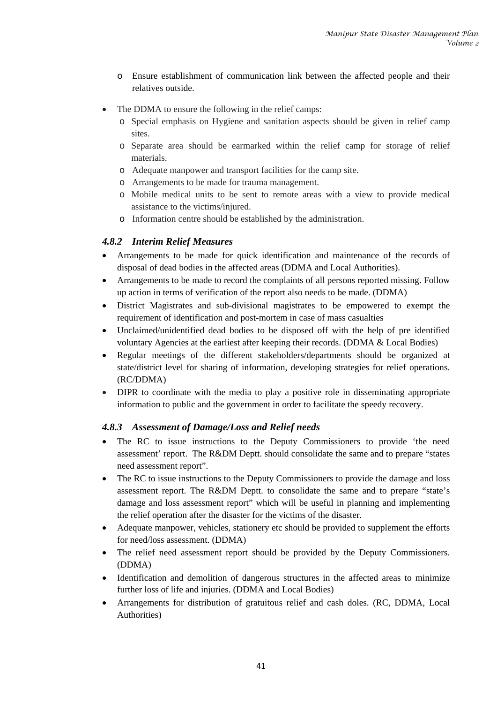- o Ensure establishment of communication link between the affected people and their relatives outside.
- The DDMA to ensure the following in the relief camps:
	- o Special emphasis on Hygiene and sanitation aspects should be given in relief camp sites.
	- o Separate area should be earmarked within the relief camp for storage of relief materials.
	- o Adequate manpower and transport facilities for the camp site.
	- o Arrangements to be made for trauma management.
	- o Mobile medical units to be sent to remote areas with a view to provide medical assistance to the victims/injured.
	- o Information centre should be established by the administration.

#### *4.8.2 Interim Relief Measures*

- Arrangements to be made for quick identification and maintenance of the records of disposal of dead bodies in the affected areas (DDMA and Local Authorities).
- Arrangements to be made to record the complaints of all persons reported missing. Follow up action in terms of verification of the report also needs to be made. (DDMA)
- District Magistrates and sub-divisional magistrates to be empowered to exempt the requirement of identification and post-mortem in case of mass casualties
- Unclaimed/unidentified dead bodies to be disposed off with the help of pre identified voluntary Agencies at the earliest after keeping their records. (DDMA & Local Bodies)
- Regular meetings of the different stakeholders/departments should be organized at state/district level for sharing of information, developing strategies for relief operations. (RC/DDMA)
- DIPR to coordinate with the media to play a positive role in disseminating appropriate information to public and the government in order to facilitate the speedy recovery.

#### *4.8.3 Assessment of Damage/Loss and Relief needs*

- The RC to issue instructions to the Deputy Commissioners to provide 'the need assessment' report. The R&DM Deptt. should consolidate the same and to prepare "states need assessment report".
- The RC to issue instructions to the Deputy Commissioners to provide the damage and loss assessment report. The R&DM Deptt. to consolidate the same and to prepare "state's damage and loss assessment report" which will be useful in planning and implementing the relief operation after the disaster for the victims of the disaster.
- Adequate manpower, vehicles, stationery etc should be provided to supplement the efforts for need/loss assessment. (DDMA)
- The relief need assessment report should be provided by the Deputy Commissioners. (DDMA)
- Identification and demolition of dangerous structures in the affected areas to minimize further loss of life and injuries. (DDMA and Local Bodies)
- Arrangements for distribution of gratuitous relief and cash doles. (RC, DDMA, Local Authorities)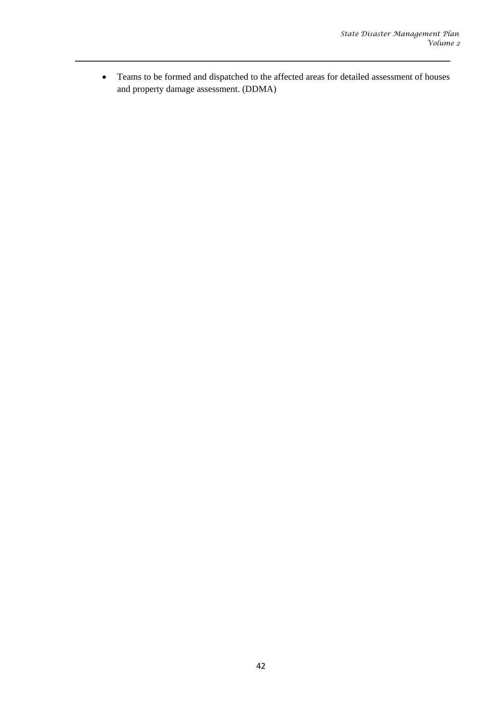Teams to be formed and dispatched to the affected areas for detailed assessment of houses and property damage assessment. (DDMA)